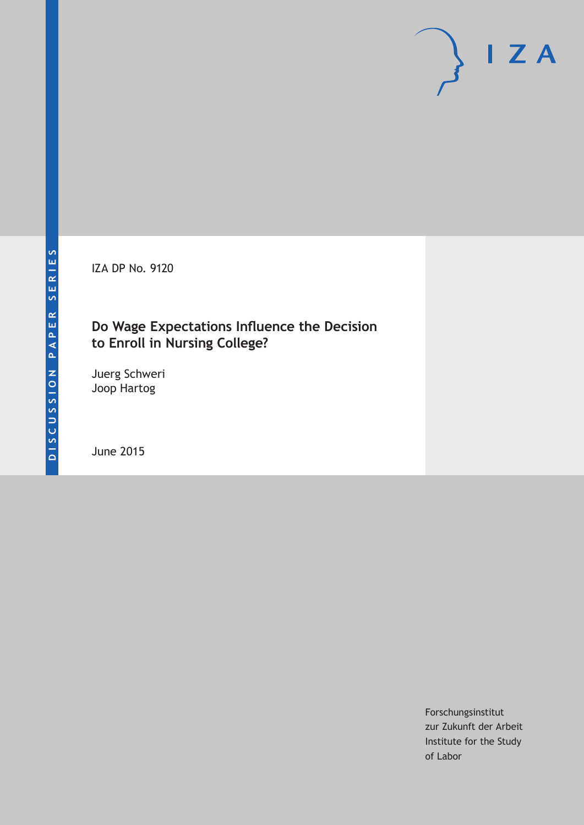IZA DP No. 9120

## **Do Wage Expectations Influence the Decision to Enroll in Nursing College?**

Juerg Schweri Joop Hartog

June 2015

Forschungsinstitut zur Zukunft der Arbeit Institute for the Study of Labor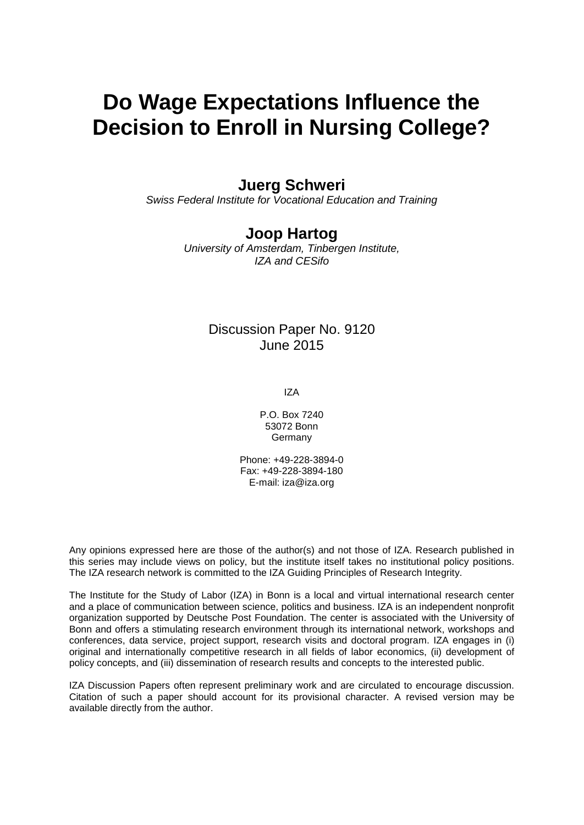# **Do Wage Expectations Influence the Decision to Enroll in Nursing College?**

## **Juerg Schweri**

*Swiss Federal Institute for Vocational Education and Training*

### **Joop Hartog**

*University of Amsterdam, Tinbergen Institute, IZA and CESifo*

### Discussion Paper No. 9120 June 2015

IZA

P.O. Box 7240 53072 Bonn Germany

Phone: +49-228-3894-0 Fax: +49-228-3894-180 E-mail: iza@iza.org

Any opinions expressed here are those of the author(s) and not those of IZA. Research published in this series may include views on policy, but the institute itself takes no institutional policy positions. The IZA research network is committed to the IZA Guiding Principles of Research Integrity.

The Institute for the Study of Labor (IZA) in Bonn is a local and virtual international research center and a place of communication between science, politics and business. IZA is an independent nonprofit organization supported by Deutsche Post Foundation. The center is associated with the University of Bonn and offers a stimulating research environment through its international network, workshops and conferences, data service, project support, research visits and doctoral program. IZA engages in (i) original and internationally competitive research in all fields of labor economics, (ii) development of policy concepts, and (iii) dissemination of research results and concepts to the interested public.

<span id="page-1-0"></span>IZA Discussion Papers often represent preliminary work and are circulated to encourage discussion. Citation of such a paper should account for its provisional character. A revised version may be available directly from the author.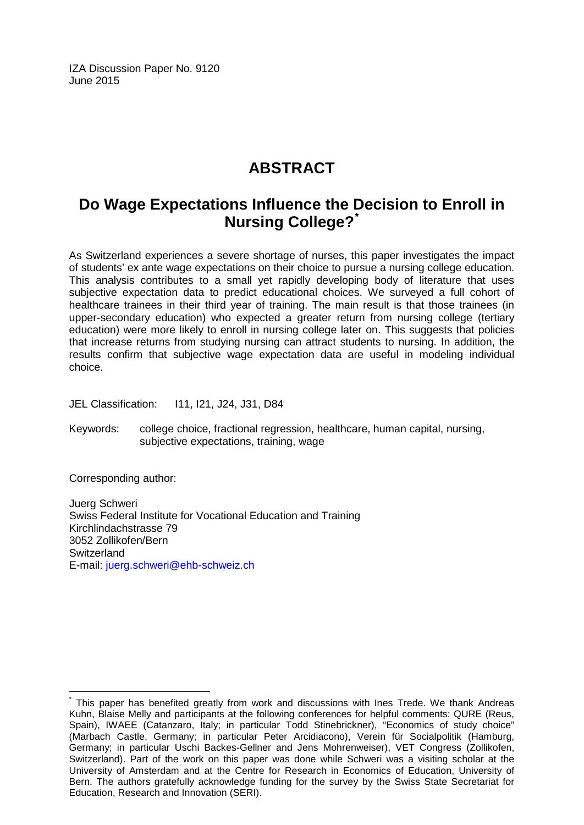IZA Discussion Paper No. 9120 June 2015

## **ABSTRACT**

## **Do Wage Expectations Influence the Decision to Enroll in Nursing College?[\\*](#page-1-0)**

As Switzerland experiences a severe shortage of nurses, this paper investigates the impact of students' ex ante wage expectations on their choice to pursue a nursing college education. This analysis contributes to a small yet rapidly developing body of literature that uses subjective expectation data to predict educational choices. We surveyed a full cohort of healthcare trainees in their third year of training. The main result is that those trainees (in upper-secondary education) who expected a greater return from nursing college (tertiary education) were more likely to enroll in nursing college later on. This suggests that policies that increase returns from studying nursing can attract students to nursing. In addition, the results confirm that subjective wage expectation data are useful in modeling individual choice.

JEL Classification: I11, I21, J24, J31, D84

Keywords: college choice, fractional regression, healthcare, human capital, nursing, subjective expectations, training, wage

Corresponding author:

Juerg Schweri Swiss Federal Institute for Vocational Education and Training Kirchlindachstrasse 79 3052 Zollikofen/Bern **Switzerland** E-mail: [juerg.schweri@ehb-schweiz.ch](mailto:juerg.schweri@ehb-schweiz.ch)

This paper has benefited greatly from work and discussions with Ines Trede. We thank Andreas Kuhn, Blaise Melly and participants at the following conferences for helpful comments: QURE (Reus, Spain), IWAEE (Catanzaro, Italy; in particular Todd Stinebrickner), "Economics of study choice" (Marbach Castle, Germany; in particular Peter Arcidiacono), Verein für Socialpolitik (Hamburg, Germany; in particular Uschi Backes-Gellner and Jens Mohrenweiser), VET Congress (Zollikofen, Switzerland). Part of the work on this paper was done while Schweri was a visiting scholar at the University of Amsterdam and at the Centre for Research in Economics of Education, University of Bern. The authors gratefully acknowledge funding for the survey by the Swiss State Secretariat for Education, Research and Innovation (SERI).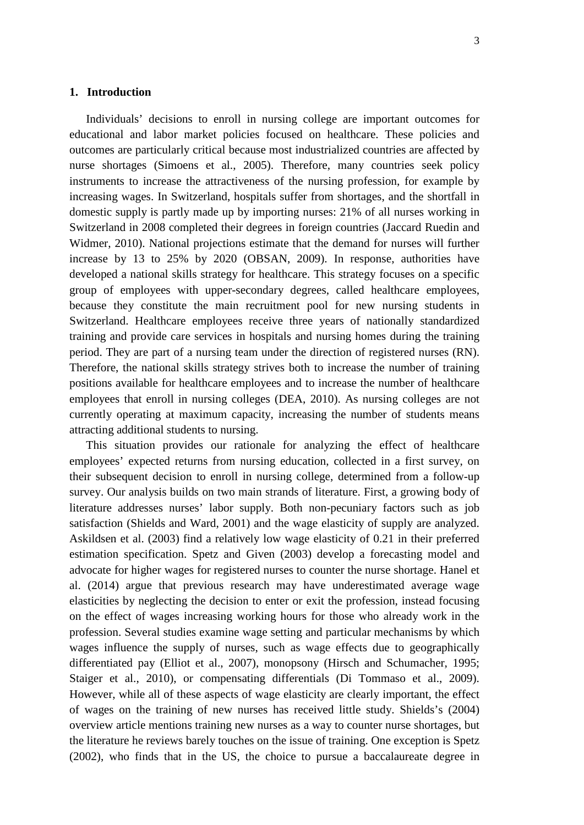#### **1. Introduction**

Individuals' decisions to enroll in nursing college are important outcomes for educational and labor market policies focused on healthcare. These policies and outcomes are particularly critical because most industrialized countries are affected by nurse shortages (Simoens et al., 2005). Therefore, many countries seek policy instruments to increase the attractiveness of the nursing profession, for example by increasing wages. In Switzerland, hospitals suffer from shortages, and the shortfall in domestic supply is partly made up by importing nurses: 21% of all nurses working in Switzerland in 2008 completed their degrees in foreign countries (Jaccard Ruedin and Widmer, 2010). National projections estimate that the demand for nurses will further increase by 13 to 25% by 2020 (OBSAN, 2009). In response, authorities have developed a national skills strategy for healthcare. This strategy focuses on a specific group of employees with upper-secondary degrees, called healthcare employees, because they constitute the main recruitment pool for new nursing students in Switzerland. Healthcare employees receive three years of nationally standardized training and provide care services in hospitals and nursing homes during the training period. They are part of a nursing team under the direction of registered nurses (RN). Therefore, the national skills strategy strives both to increase the number of training positions available for healthcare employees and to increase the number of healthcare employees that enroll in nursing colleges (DEA, 2010). As nursing colleges are not currently operating at maximum capacity, increasing the number of students means attracting additional students to nursing.

This situation provides our rationale for analyzing the effect of healthcare employees' expected returns from nursing education, collected in a first survey, on their subsequent decision to enroll in nursing college, determined from a follow-up survey. Our analysis builds on two main strands of literature. First, a growing body of literature addresses nurses' labor supply. Both non-pecuniary factors such as job satisfaction (Shields and Ward, 2001) and the wage elasticity of supply are analyzed. Askildsen et al. (2003) find a relatively low wage elasticity of 0.21 in their preferred estimation specification. Spetz and Given (2003) develop a forecasting model and advocate for higher wages for registered nurses to counter the nurse shortage. Hanel et al. (2014) argue that previous research may have underestimated average wage elasticities by neglecting the decision to enter or exit the profession, instead focusing on the effect of wages increasing working hours for those who already work in the profession. Several studies examine wage setting and particular mechanisms by which wages influence the supply of nurses, such as wage effects due to geographically differentiated pay (Elliot et al., 2007), monopsony (Hirsch and Schumacher, 1995; Staiger et al., 2010), or compensating differentials (Di Tommaso et al., 2009). However, while all of these aspects of wage elasticity are clearly important, the effect of wages on the training of new nurses has received little study. Shields's (2004) overview article mentions training new nurses as a way to counter nurse shortages, but the literature he reviews barely touches on the issue of training. One exception is Spetz (2002), who finds that in the US, the choice to pursue a baccalaureate degree in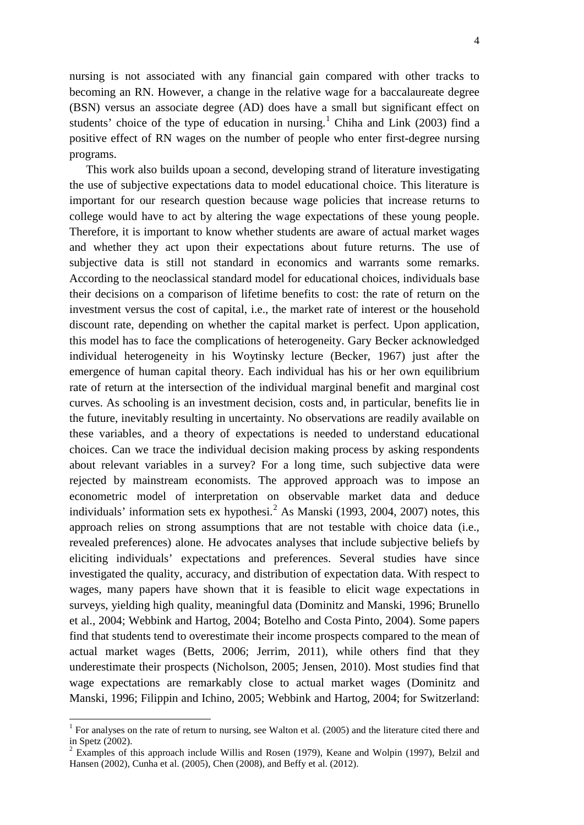nursing is not associated with any financial gain compared with other tracks to becoming an RN. However, a change in the relative wage for a baccalaureate degree (BSN) versus an associate degree (AD) does have a small but significant effect on students' choice of the type of education in nursing.<sup>1</sup> Chiha and Link (2003) find a positive effect of RN wages on the number of people who enter first-degree nursing programs.

This work also builds upoan a second, developing strand of literature investigating the use of subjective expectations data to model educational choice. This literature is important for our research question because wage policies that increase returns to college would have to act by altering the wage expectations of these young people. Therefore, it is important to know whether students are aware of actual market wages and whether they act upon their expectations about future returns. The use of subjective data is still not standard in economics and warrants some remarks. According to the neoclassical standard model for educational choices, individuals base their decisions on a comparison of lifetime benefits to cost: the rate of return on the investment versus the cost of capital, i.e., the market rate of interest or the household discount rate, depending on whether the capital market is perfect. Upon application, this model has to face the complications of heterogeneity. Gary Becker acknowledged individual heterogeneity in his Woytinsky lecture (Becker, 1967) just after the emergence of human capital theory. Each individual has his or her own equilibrium rate of return at the intersection of the individual marginal benefit and marginal cost curves. As schooling is an investment decision, costs and, in particular, benefits lie in the future, inevitably resulting in uncertainty. No observations are readily available on these variables, and a theory of expectations is needed to understand educational choices. Can we trace the individual decision making process by asking respondents about relevant variables in a survey? For a long time, such subjective data were rejected by mainstream economists. The approved approach was to impose an econometric model of interpretation on observable market data and deduce individuals' information sets ex hypothesi.<sup>[2](#page-4-0)</sup> As Manski (1993, 2004, 2007) notes, this approach relies on strong assumptions that are not testable with choice data (i.e., revealed preferences) alone. He advocates analyses that include subjective beliefs by eliciting individuals' expectations and preferences. Several studies have since investigated the quality, accuracy, and distribution of expectation data. With respect to wages, many papers have shown that it is feasible to elicit wage expectations in surveys, yielding high quality, meaningful data (Dominitz and Manski, 1996; Brunello et al., 2004; Webbink and Hartog, 2004; Botelho and Costa Pinto, 2004). Some papers find that students tend to overestimate their income prospects compared to the mean of actual market wages (Betts, 2006; Jerrim, 2011), while others find that they underestimate their prospects (Nicholson, 2005; Jensen, 2010). Most studies find that wage expectations are remarkably close to actual market wages (Dominitz and Manski, 1996; Filippin and Ichino, 2005; Webbink and Hartog, 2004; for Switzerland:

<span id="page-4-1"></span><sup>&</sup>lt;sup>1</sup> For analyses on the rate of return to nursing, see Walton et al. (2005) and the literature cited there and in Spetz (2002).

<span id="page-4-0"></span> $2$  Examples of this approach include Willis and Rosen (1979), Keane and Wolpin (1997), Belzil and Hansen (2002), Cunha et al. (2005), Chen (2008), and Beffy et al. (2012).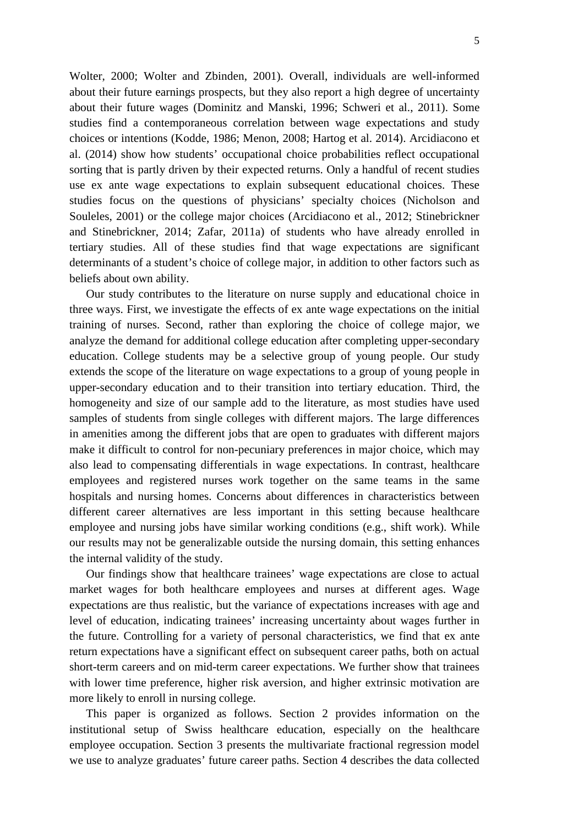Wolter, 2000; Wolter and Zbinden, 2001). Overall, individuals are well-informed about their future earnings prospects, but they also report a high degree of uncertainty about their future wages (Dominitz and Manski, 1996; Schweri et al., 2011). Some studies find a contemporaneous correlation between wage expectations and study choices or intentions (Kodde, 1986; Menon, 2008; Hartog et al. 2014). Arcidiacono et al. (2014) show how students' occupational choice probabilities reflect occupational sorting that is partly driven by their expected returns. Only a handful of recent studies use ex ante wage expectations to explain subsequent educational choices. These studies focus on the questions of physicians' specialty choices (Nicholson and Souleles, 2001) or the college major choices (Arcidiacono et al., 2012; Stinebrickner and Stinebrickner, 2014; Zafar, 2011a) of students who have already enrolled in tertiary studies. All of these studies find that wage expectations are significant determinants of a student's choice of college major, in addition to other factors such as beliefs about own ability.

Our study contributes to the literature on nurse supply and educational choice in three ways. First, we investigate the effects of ex ante wage expectations on the initial training of nurses. Second, rather than exploring the choice of college major, we analyze the demand for additional college education after completing upper-secondary education. College students may be a selective group of young people. Our study extends the scope of the literature on wage expectations to a group of young people in upper-secondary education and to their transition into tertiary education. Third, the homogeneity and size of our sample add to the literature, as most studies have used samples of students from single colleges with different majors. The large differences in amenities among the different jobs that are open to graduates with different majors make it difficult to control for non-pecuniary preferences in major choice, which may also lead to compensating differentials in wage expectations. In contrast, healthcare employees and registered nurses work together on the same teams in the same hospitals and nursing homes. Concerns about differences in characteristics between different career alternatives are less important in this setting because healthcare employee and nursing jobs have similar working conditions (e.g., shift work). While our results may not be generalizable outside the nursing domain, this setting enhances the internal validity of the study.

Our findings show that healthcare trainees' wage expectations are close to actual market wages for both healthcare employees and nurses at different ages. Wage expectations are thus realistic, but the variance of expectations increases with age and level of education, indicating trainees' increasing uncertainty about wages further in the future. Controlling for a variety of personal characteristics, we find that ex ante return expectations have a significant effect on subsequent career paths, both on actual short-term careers and on mid-term career expectations. We further show that trainees with lower time preference, higher risk aversion, and higher extrinsic motivation are more likely to enroll in nursing college.

This paper is organized as follows. Section 2 provides information on the institutional setup of Swiss healthcare education, especially on the healthcare employee occupation. Section 3 presents the multivariate fractional regression model we use to analyze graduates' future career paths. Section 4 describes the data collected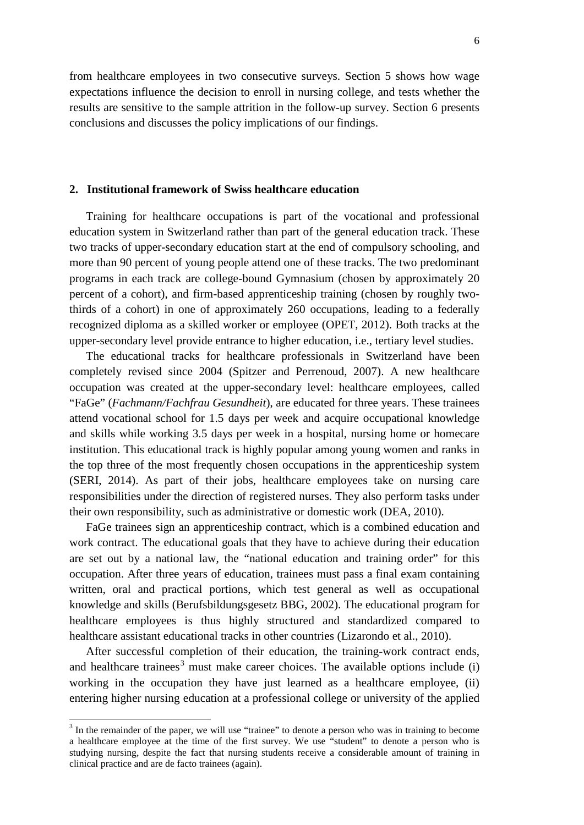from healthcare employees in two consecutive surveys. Section 5 shows how wage expectations influence the decision to enroll in nursing college, and tests whether the results are sensitive to the sample attrition in the follow-up survey. Section 6 presents conclusions and discusses the policy implications of our findings.

#### **2. Institutional framework of Swiss healthcare education**

Training for healthcare occupations is part of the vocational and professional education system in Switzerland rather than part of the general education track. These two tracks of upper-secondary education start at the end of compulsory schooling, and more than 90 percent of young people attend one of these tracks. The two predominant programs in each track are college-bound Gymnasium (chosen by approximately 20 percent of a cohort), and firm-based apprenticeship training (chosen by roughly twothirds of a cohort) in one of approximately 260 occupations, leading to a federally recognized diploma as a skilled worker or employee (OPET, 2012). Both tracks at the upper-secondary level provide entrance to higher education, i.e., tertiary level studies.

The educational tracks for healthcare professionals in Switzerland have been completely revised since 2004 (Spitzer and Perrenoud, 2007). A new healthcare occupation was created at the upper-secondary level: healthcare employees, called "FaGe" (*Fachmann/Fachfrau Gesundheit*), are educated for three years. These trainees attend vocational school for 1.5 days per week and acquire occupational knowledge and skills while working 3.5 days per week in a hospital, nursing home or homecare institution. This educational track is highly popular among young women and ranks in the top three of the most frequently chosen occupations in the apprenticeship system (SERI, 2014). As part of their jobs, healthcare employees take on nursing care responsibilities under the direction of registered nurses. They also perform tasks under their own responsibility, such as administrative or domestic work (DEA, 2010).

FaGe trainees sign an apprenticeship contract, which is a combined education and work contract. The educational goals that they have to achieve during their education are set out by a national law, the "national education and training order" for this occupation. After three years of education, trainees must pass a final exam containing written, oral and practical portions, which test general as well as occupational knowledge and skills (Berufsbildungsgesetz BBG, 2002). The educational program for healthcare employees is thus highly structured and standardized compared to healthcare assistant educational tracks in other countries (Lizarondo et al., 2010).

After successful completion of their education, the training-work contract ends, and healthcare trainees<sup>[3](#page-4-1)</sup> must make career choices. The available options include (i) working in the occupation they have just learned as a healthcare employee, (ii) entering higher nursing education at a professional college or university of the applied

<span id="page-6-0"></span><sup>&</sup>lt;sup>3</sup> In the remainder of the paper, we will use "trainee" to denote a person who was in training to become a healthcare employee at the time of the first survey. We use "student" to denote a person who is studying nursing, despite the fact that nursing students receive a considerable amount of training in clinical practice and are de facto trainees (again).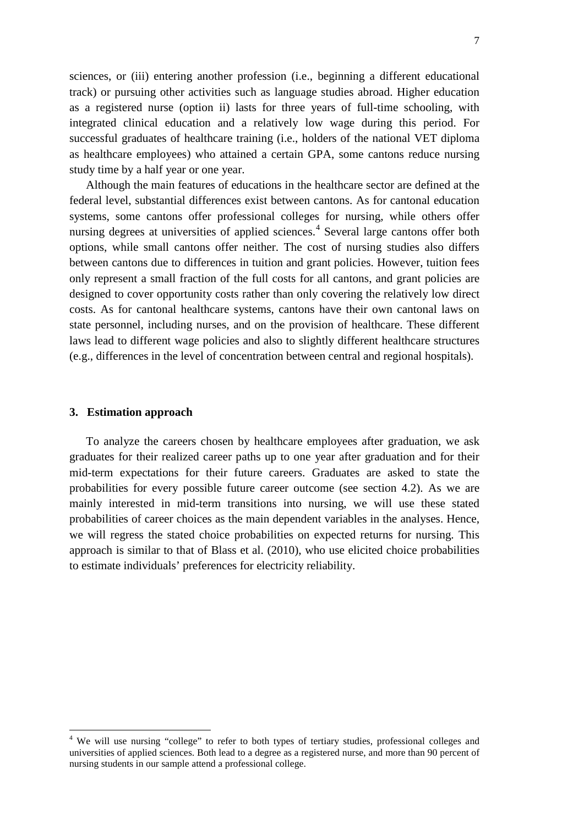sciences, or (iii) entering another profession (i.e., beginning a different educational track) or pursuing other activities such as language studies abroad. Higher education as a registered nurse (option ii) lasts for three years of full-time schooling, with integrated clinical education and a relatively low wage during this period. For successful graduates of healthcare training (i.e., holders of the national VET diploma as healthcare employees) who attained a certain GPA, some cantons reduce nursing study time by a half year or one year.

Although the main features of educations in the healthcare sector are defined at the federal level, substantial differences exist between cantons. As for cantonal education systems, some cantons offer professional colleges for nursing, while others offer nursing degrees at universities of applied sciences.<sup>[4](#page-6-0)</sup> Several large cantons offer both options, while small cantons offer neither. The cost of nursing studies also differs between cantons due to differences in tuition and grant policies. However, tuition fees only represent a small fraction of the full costs for all cantons, and grant policies are designed to cover opportunity costs rather than only covering the relatively low direct costs. As for cantonal healthcare systems, cantons have their own cantonal laws on state personnel, including nurses, and on the provision of healthcare. These different laws lead to different wage policies and also to slightly different healthcare structures (e.g., differences in the level of concentration between central and regional hospitals).

#### **3. Estimation approach**

To analyze the careers chosen by healthcare employees after graduation, we ask graduates for their realized career paths up to one year after graduation and for their mid-term expectations for their future careers. Graduates are asked to state the probabilities for every possible future career outcome (see section 4.2). As we are mainly interested in mid-term transitions into nursing, we will use these stated probabilities of career choices as the main dependent variables in the analyses. Hence, we will regress the stated choice probabilities on expected returns for nursing. This approach is similar to that of Blass et al. (2010), who use elicited choice probabilities to estimate individuals' preferences for electricity reliability.

<span id="page-7-0"></span><sup>&</sup>lt;sup>4</sup> We will use nursing "college" to refer to both types of tertiary studies, professional colleges and universities of applied sciences. Both lead to a degree as a registered nurse, and more than 90 percent of nursing students in our sample attend a professional college.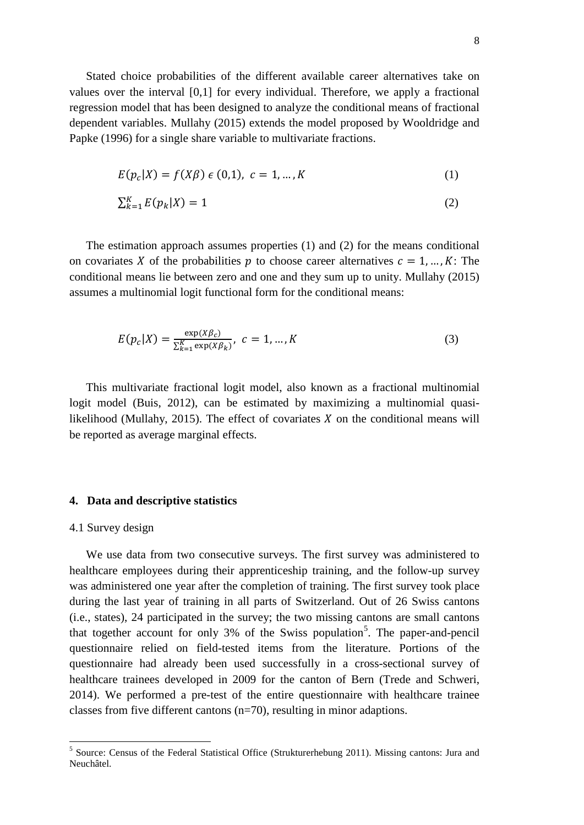Stated choice probabilities of the different available career alternatives take on values over the interval [0,1] for every individual. Therefore, we apply a fractional regression model that has been designed to analyze the conditional means of fractional dependent variables. Mullahy (2015) extends the model proposed by Wooldridge and Papke (1996) for a single share variable to multivariate fractions.

$$
E(p_c|X) = f(X\beta) \epsilon (0,1), \ c = 1,...,K
$$
 (1)

$$
\sum_{k=1}^{K} E(p_k|X) = 1\tag{2}
$$

The estimation approach assumes properties (1) and (2) for the means conditional on covariates X of the probabilities p to choose career alternatives  $c = 1, ..., K$ : The conditional means lie between zero and one and they sum up to unity. Mullahy (2015) assumes a multinomial logit functional form for the conditional means:

$$
E(p_c|X) = \frac{\exp(X\beta_c)}{\sum_{k=1}^{K} \exp(X\beta_k)}, \ c = 1, ..., K
$$
 (3)

This multivariate fractional logit model, also known as a fractional multinomial logit model (Buis, 2012), can be estimated by maximizing a multinomial quasilikelihood (Mullahy, 2015). The effect of covariates  $X$  on the conditional means will be reported as average marginal effects.

#### **4. Data and descriptive statistics**

#### 4.1 Survey design

We use data from two consecutive surveys. The first survey was administered to healthcare employees during their apprenticeship training, and the follow-up survey was administered one year after the completion of training. The first survey took place during the last year of training in all parts of Switzerland. Out of 26 Swiss cantons (i.e., states), 24 participated in the survey; the two missing cantons are small cantons that together account for only 3% of the Swiss population<sup>[5](#page-7-0)</sup>. The paper-and-pencil questionnaire relied on field-tested items from the literature. Portions of the questionnaire had already been used successfully in a cross-sectional survey of healthcare trainees developed in 2009 for the canton of Bern (Trede and Schweri, 2014). We performed a pre-test of the entire questionnaire with healthcare trainee classes from five different cantons (n=70), resulting in minor adaptions.

<span id="page-8-0"></span><sup>5</sup> Source: Census of the Federal Statistical Office (Strukturerhebung 2011). Missing cantons: Jura and Neuchâtel.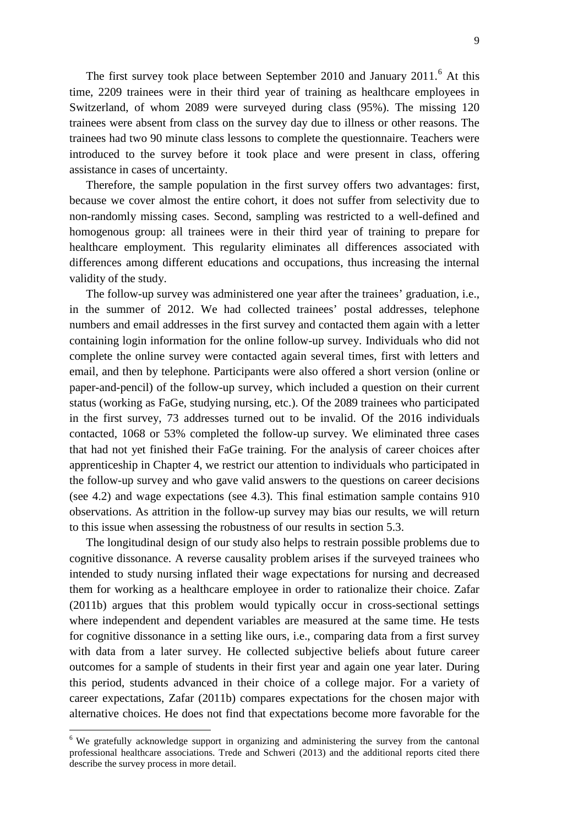The first survey took place between September 2010 and January  $2011$ .<sup>[6](#page-8-0)</sup> At this time, 2209 trainees were in their third year of training as healthcare employees in Switzerland, of whom 2089 were surveyed during class (95%). The missing 120 trainees were absent from class on the survey day due to illness or other reasons. The trainees had two 90 minute class lessons to complete the questionnaire. Teachers were introduced to the survey before it took place and were present in class, offering assistance in cases of uncertainty.

Therefore, the sample population in the first survey offers two advantages: first, because we cover almost the entire cohort, it does not suffer from selectivity due to non-randomly missing cases. Second, sampling was restricted to a well-defined and homogenous group: all trainees were in their third year of training to prepare for healthcare employment. This regularity eliminates all differences associated with differences among different educations and occupations, thus increasing the internal validity of the study.

The follow-up survey was administered one year after the trainees' graduation, i.e., in the summer of 2012. We had collected trainees' postal addresses, telephone numbers and email addresses in the first survey and contacted them again with a letter containing login information for the online follow-up survey. Individuals who did not complete the online survey were contacted again several times, first with letters and email, and then by telephone. Participants were also offered a short version (online or paper-and-pencil) of the follow-up survey, which included a question on their current status (working as FaGe, studying nursing, etc.). Of the 2089 trainees who participated in the first survey, 73 addresses turned out to be invalid. Of the 2016 individuals contacted, 1068 or 53% completed the follow-up survey. We eliminated three cases that had not yet finished their FaGe training. For the analysis of career choices after apprenticeship in Chapter 4, we restrict our attention to individuals who participated in the follow-up survey and who gave valid answers to the questions on career decisions (see 4.2) and wage expectations (see 4.3). This final estimation sample contains 910 observations. As attrition in the follow-up survey may bias our results, we will return to this issue when assessing the robustness of our results in section 5.3.

The longitudinal design of our study also helps to restrain possible problems due to cognitive dissonance. A reverse causality problem arises if the surveyed trainees who intended to study nursing inflated their wage expectations for nursing and decreased them for working as a healthcare employee in order to rationalize their choice. Zafar (2011b) argues that this problem would typically occur in cross-sectional settings where independent and dependent variables are measured at the same time. He tests for cognitive dissonance in a setting like ours, i.e., comparing data from a first survey with data from a later survey. He collected subjective beliefs about future career outcomes for a sample of students in their first year and again one year later. During this period, students advanced in their choice of a college major. For a variety of career expectations, Zafar (2011b) compares expectations for the chosen major with alternative choices. He does not find that expectations become more favorable for the

<span id="page-9-0"></span><sup>&</sup>lt;sup>6</sup> We gratefully acknowledge support in organizing and administering the survey from the cantonal professional healthcare associations. Trede and Schweri (2013) and the additional reports cited there describe the survey process in more detail.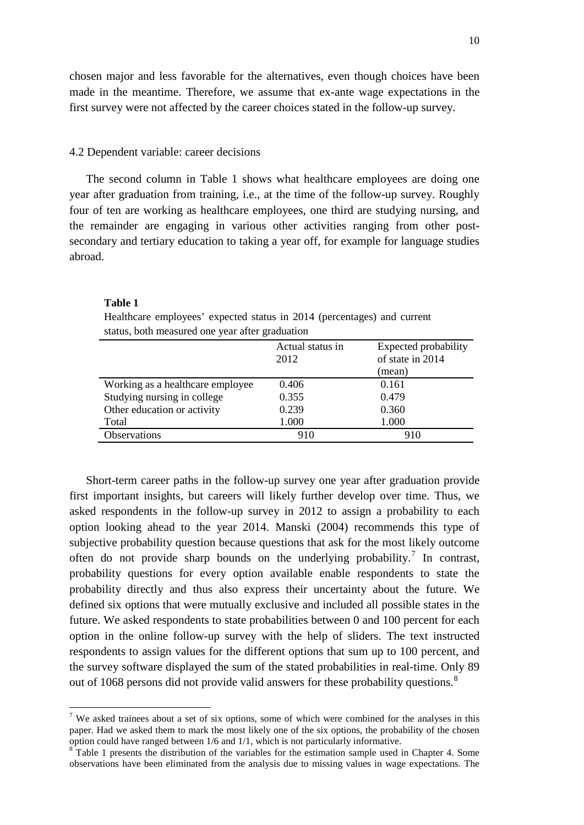chosen major and less favorable for the alternatives, even though choices have been made in the meantime. Therefore, we assume that ex-ante wage expectations in the first survey were not affected by the career choices stated in the follow-up survey.

#### 4.2 Dependent variable: career decisions

The second column in Table 1 shows what healthcare employees are doing one year after graduation from training, i.e., at the time of the follow-up survey. Roughly four of ten are working as healthcare employees, one third are studying nursing, and the remainder are engaging in various other activities ranging from other postsecondary and tertiary education to taking a year off, for example for language studies abroad.

#### **Table 1**

Healthcare employees' expected status in 2014 (percentages) and current status, both measured one year after graduation

|                                  | Actual status in<br>2012 | Expected probability<br>of state in 2014 |
|----------------------------------|--------------------------|------------------------------------------|
|                                  |                          | (mean)                                   |
| Working as a healthcare employee | 0.406                    | 0.161                                    |
| Studying nursing in college      | 0.355                    | 0.479                                    |
| Other education or activity      | 0.239                    | 0.360                                    |
| Total                            | 1.000                    | 1.000                                    |
| <b>Observations</b>              | 910                      | 910                                      |
|                                  |                          |                                          |

Short-term career paths in the follow-up survey one year after graduation provide first important insights, but careers will likely further develop over time. Thus, we asked respondents in the follow-up survey in 2012 to assign a probability to each option looking ahead to the year 2014. Manski (2004) recommends this type of subjective probability question because questions that ask for the most likely outcome often do not provide sharp bounds on the underlying probability.<sup>[7](#page-9-0)</sup> In contrast, probability questions for every option available enable respondents to state the probability directly and thus also express their uncertainty about the future. We defined six options that were mutually exclusive and included all possible states in the future. We asked respondents to state probabilities between 0 and 100 percent for each option in the online follow-up survey with the help of sliders. The text instructed respondents to assign values for the different options that sum up to 100 percent, and the survey software displayed the sum of the stated probabilities in real-time. Only 89 out of 106[8](#page-10-0) persons did not provide valid answers for these probability questions.<sup>8</sup>

<sup>&</sup>lt;sup>7</sup> We asked trainees about a set of six options, some of which were combined for the analyses in this paper. Had we asked them to mark the most likely one of the six options, the probability of the chosen option could have ranged between 1/6 and 1/1, which is not particularly informative.

<span id="page-10-0"></span> $8$ <sup>8</sup> Table 1 presents the distribution of the variables for the estimation sample used in Chapter 4. Some observations have been eliminated from the analysis due to missing values in wage expectations. The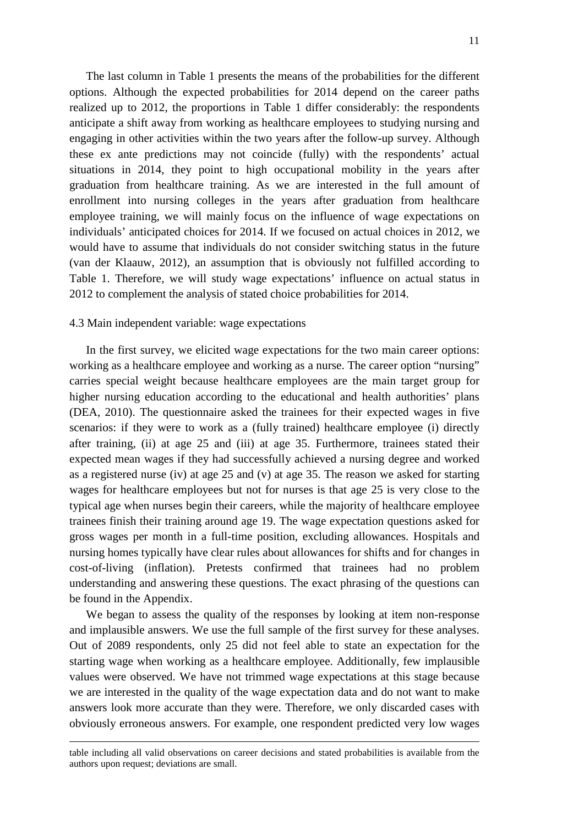The last column in Table 1 presents the means of the probabilities for the different options. Although the expected probabilities for 2014 depend on the career paths realized up to 2012, the proportions in Table 1 differ considerably: the respondents anticipate a shift away from working as healthcare employees to studying nursing and engaging in other activities within the two years after the follow-up survey. Although these ex ante predictions may not coincide (fully) with the respondents' actual situations in 2014, they point to high occupational mobility in the years after graduation from healthcare training. As we are interested in the full amount of enrollment into nursing colleges in the years after graduation from healthcare employee training, we will mainly focus on the influence of wage expectations on individuals' anticipated choices for 2014. If we focused on actual choices in 2012, we would have to assume that individuals do not consider switching status in the future (van der Klaauw, 2012), an assumption that is obviously not fulfilled according to Table 1. Therefore, we will study wage expectations' influence on actual status in 2012 to complement the analysis of stated choice probabilities for 2014.

#### 4.3 Main independent variable: wage expectations

 $\overline{\phantom{a}}$ 

In the first survey, we elicited wage expectations for the two main career options: working as a healthcare employee and working as a nurse. The career option "nursing" carries special weight because healthcare employees are the main target group for higher nursing education according to the educational and health authorities' plans (DEA, 2010). The questionnaire asked the trainees for their expected wages in five scenarios: if they were to work as a (fully trained) healthcare employee (i) directly after training, (ii) at age 25 and (iii) at age 35. Furthermore, trainees stated their expected mean wages if they had successfully achieved a nursing degree and worked as a registered nurse (iv) at age 25 and (v) at age 35. The reason we asked for starting wages for healthcare employees but not for nurses is that age 25 is very close to the typical age when nurses begin their careers, while the majority of healthcare employee trainees finish their training around age 19. The wage expectation questions asked for gross wages per month in a full-time position, excluding allowances. Hospitals and nursing homes typically have clear rules about allowances for shifts and for changes in cost-of-living (inflation). Pretests confirmed that trainees had no problem understanding and answering these questions. The exact phrasing of the questions can be found in the Appendix.

We began to assess the quality of the responses by looking at item non-response and implausible answers. We use the full sample of the first survey for these analyses. Out of 2089 respondents, only 25 did not feel able to state an expectation for the starting wage when working as a healthcare employee. Additionally, few implausible values were observed. We have not trimmed wage expectations at this stage because we are interested in the quality of the wage expectation data and do not want to make answers look more accurate than they were. Therefore, we only discarded cases with obviously erroneous answers. For example, one respondent predicted very low wages

table including all valid observations on career decisions and stated probabilities is available from the authors upon request; deviations are small.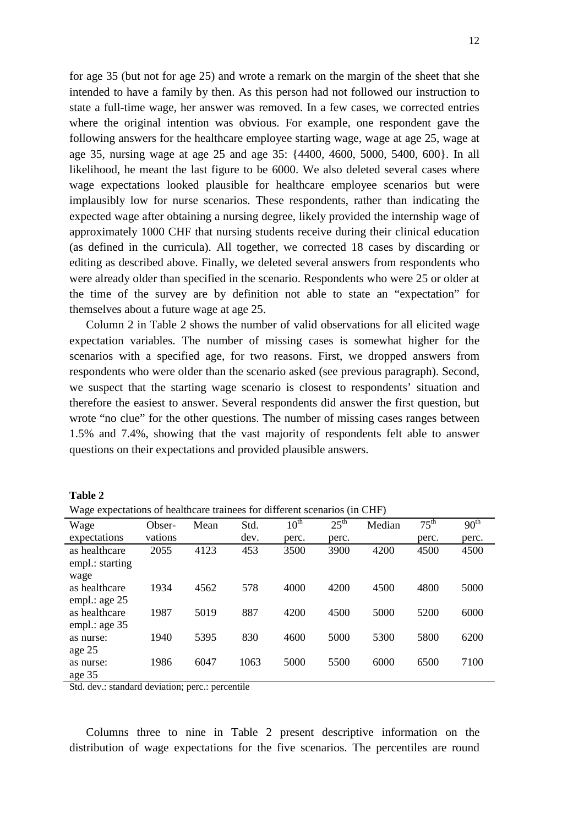for age 35 (but not for age 25) and wrote a remark on the margin of the sheet that she intended to have a family by then. As this person had not followed our instruction to state a full-time wage, her answer was removed. In a few cases, we corrected entries where the original intention was obvious. For example, one respondent gave the following answers for the healthcare employee starting wage, wage at age 25, wage at age 35, nursing wage at age 25 and age 35: {4400, 4600, 5000, 5400, 600}. In all likelihood, he meant the last figure to be 6000. We also deleted several cases where wage expectations looked plausible for healthcare employee scenarios but were implausibly low for nurse scenarios. These respondents, rather than indicating the expected wage after obtaining a nursing degree, likely provided the internship wage of approximately 1000 CHF that nursing students receive during their clinical education (as defined in the curricula). All together, we corrected 18 cases by discarding or editing as described above. Finally, we deleted several answers from respondents who were already older than specified in the scenario. Respondents who were 25 or older at the time of the survey are by definition not able to state an "expectation" for themselves about a future wage at age 25.

Column 2 in Table 2 shows the number of valid observations for all elicited wage expectation variables. The number of missing cases is somewhat higher for the scenarios with a specified age, for two reasons. First, we dropped answers from respondents who were older than the scenario asked (see previous paragraph). Second, we suspect that the starting wage scenario is closest to respondents' situation and therefore the easiest to answer. Several respondents did answer the first question, but wrote "no clue" for the other questions. The number of missing cases ranges between 1.5% and 7.4%, showing that the vast majority of respondents felt able to answer questions on their expectations and provided plausible answers.

| wage expectations of nearlineare trainees for unferent secriality (in CTIF) |         |      |      |                  |                  |        |                  |                  |
|-----------------------------------------------------------------------------|---------|------|------|------------------|------------------|--------|------------------|------------------|
| Wage                                                                        | Obser-  | Mean | Std. | 10 <sup>th</sup> | $25^{\text{th}}$ | Median | 75 <sup>th</sup> | 90 <sup>th</sup> |
| expectations                                                                | vations |      | dev. | perc.            | perc.            |        | perc.            | perc.            |
| as healthcare                                                               | 2055    | 4123 | 453  | 3500             | 3900             | 4200   | 4500             | 4500             |
| empl.: starting                                                             |         |      |      |                  |                  |        |                  |                  |
| wage                                                                        |         |      |      |                  |                  |        |                  |                  |
| as healthcare                                                               | 1934    | 4562 | 578  | 4000             | 4200             | 4500   | 4800             | 5000             |
| empl.: age 25                                                               |         |      |      |                  |                  |        |                  |                  |
| as healthcare                                                               | 1987    | 5019 | 887  | 4200             | 4500             | 5000   | 5200             | 6000             |
| empl.: age $35$                                                             |         |      |      |                  |                  |        |                  |                  |
| as nurse:                                                                   | 1940    | 5395 | 830  | 4600             | 5000             | 5300   | 5800             | 6200             |
| age 25                                                                      |         |      |      |                  |                  |        |                  |                  |
| as nurse:                                                                   | 1986    | 6047 | 1063 | 5000             | 5500             | 6000   | 6500             | 7100             |
| age 35                                                                      |         |      |      |                  |                  |        |                  |                  |

| anı<br>٦. |  |
|-----------|--|
|-----------|--|

Wage expectations of healthcare trainees for different scenarios (in CHF)

Std. dev.: standard deviation; perc.: percentile

Columns three to nine in Table 2 present descriptive information on the distribution of wage expectations for the five scenarios. The percentiles are round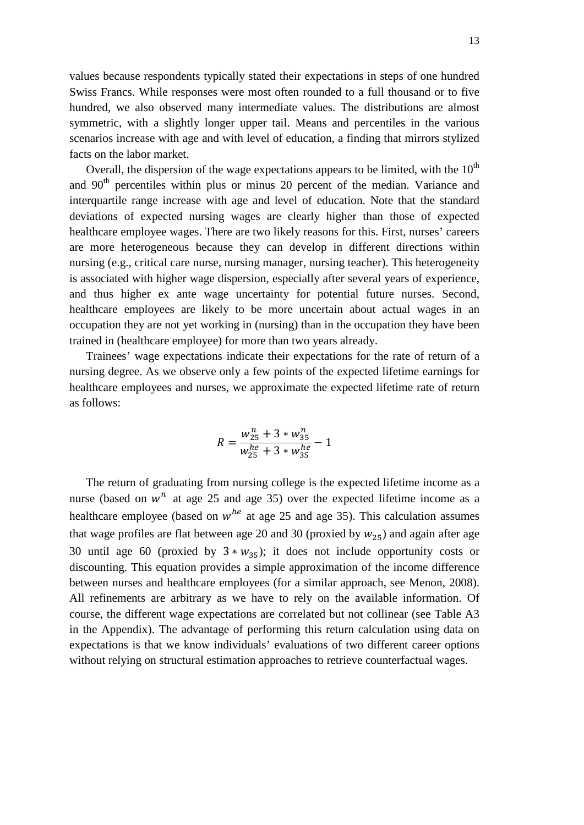values because respondents typically stated their expectations in steps of one hundred Swiss Francs. While responses were most often rounded to a full thousand or to five hundred, we also observed many intermediate values. The distributions are almost symmetric, with a slightly longer upper tail. Means and percentiles in the various scenarios increase with age and with level of education, a finding that mirrors stylized facts on the labor market.

Overall, the dispersion of the wage expectations appears to be limited, with the  $10<sup>th</sup>$ and 90<sup>th</sup> percentiles within plus or minus 20 percent of the median. Variance and interquartile range increase with age and level of education. Note that the standard deviations of expected nursing wages are clearly higher than those of expected healthcare employee wages. There are two likely reasons for this. First, nurses' careers are more heterogeneous because they can develop in different directions within nursing (e.g., critical care nurse, nursing manager, nursing teacher). This heterogeneity is associated with higher wage dispersion, especially after several years of experience, and thus higher ex ante wage uncertainty for potential future nurses. Second, healthcare employees are likely to be more uncertain about actual wages in an occupation they are not yet working in (nursing) than in the occupation they have been trained in (healthcare employee) for more than two years already.

Trainees' wage expectations indicate their expectations for the rate of return of a nursing degree. As we observe only a few points of the expected lifetime earnings for healthcare employees and nurses, we approximate the expected lifetime rate of return as follows:

$$
R = \frac{w_{25}^n + 3 \cdot w_{35}^n}{w_{25}^{he} + 3 \cdot w_{35}^{he}} - 1
$$

The return of graduating from nursing college is the expected lifetime income as a nurse (based on  $w<sup>n</sup>$  at age 25 and age 35) over the expected lifetime income as a healthcare employee (based on  $w^{he}$  at age 25 and age 35). This calculation assumes that wage profiles are flat between age 20 and 30 (proxied by  $w_{25}$ ) and again after age 30 until age 60 (proxied by  $3 * w_{35}$ ); it does not include opportunity costs or discounting. This equation provides a simple approximation of the income difference between nurses and healthcare employees (for a similar approach, see Menon, 2008). All refinements are arbitrary as we have to rely on the available information. Of course, the different wage expectations are correlated but not collinear (see Table A3 in the Appendix). The advantage of performing this return calculation using data on expectations is that we know individuals' evaluations of two different career options without relying on structural estimation approaches to retrieve counterfactual wages.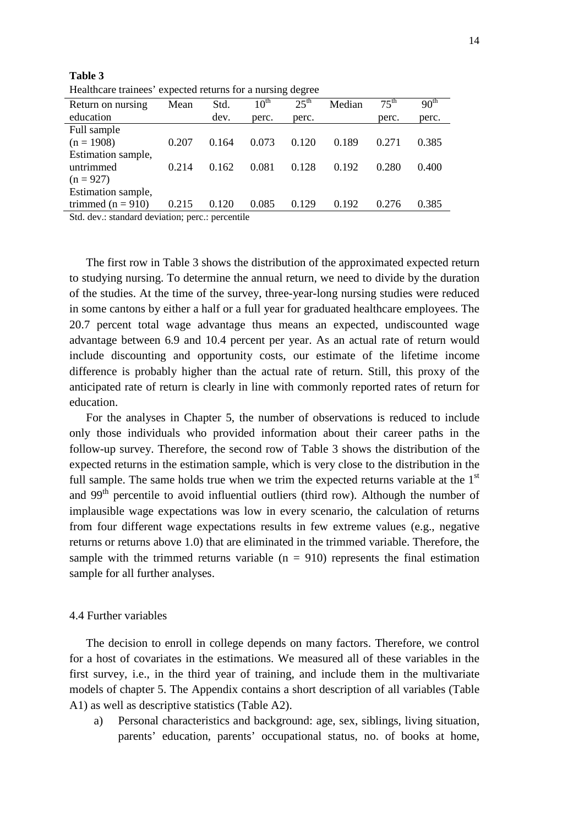| Healthcare trainees expected returns for a nursing degree |       |       |                  |                  |        |                  |                  |  |
|-----------------------------------------------------------|-------|-------|------------------|------------------|--------|------------------|------------------|--|
| Return on nursing                                         | Mean  | Std.  | $10^{\text{th}}$ | $25^{\text{th}}$ | Median | $75^{\text{th}}$ | 90 <sup>th</sup> |  |
| education                                                 |       | dev.  | perc.            | perc.            |        | perc.            | perc.            |  |
| Full sample                                               |       |       |                  |                  |        |                  |                  |  |
| $(n = 1908)$                                              | 0.207 | 0.164 | 0.073            | 0.120            | 0.189  | 0.271            | 0.385            |  |
| Estimation sample,                                        |       |       |                  |                  |        |                  |                  |  |
| untrimmed                                                 | 0.214 | 0.162 | 0.081            | 0.128            | 0.192  | 0.280            | 0.400            |  |
| $(n = 927)$                                               |       |       |                  |                  |        |                  |                  |  |
| Estimation sample,                                        |       |       |                  |                  |        |                  |                  |  |
| trimmed ( $n = 910$ )                                     | 0.215 | 0.120 | 0.085            | 0.129            | 0.192  | 0.276            | 0.385            |  |
| $Rtd$ day $:$ standard deviation: perc $:$ percentile     |       |       |                  |                  |        |                  |                  |  |

Healthcare trainees' expected returns for a nursing degree

: standard deviation; perc.: percentile

**Table 3**

The first row in Table 3 shows the distribution of the approximated expected return to studying nursing. To determine the annual return, we need to divide by the duration of the studies. At the time of the survey, three-year-long nursing studies were reduced in some cantons by either a half or a full year for graduated healthcare employees. The 20.7 percent total wage advantage thus means an expected, undiscounted wage advantage between 6.9 and 10.4 percent per year. As an actual rate of return would include discounting and opportunity costs, our estimate of the lifetime income difference is probably higher than the actual rate of return. Still, this proxy of the anticipated rate of return is clearly in line with commonly reported rates of return for education.

For the analyses in Chapter 5, the number of observations is reduced to include only those individuals who provided information about their career paths in the follow-up survey. Therefore, the second row of Table 3 shows the distribution of the expected returns in the estimation sample, which is very close to the distribution in the full sample. The same holds true when we trim the expected returns variable at the  $1<sup>st</sup>$ and  $99<sup>th</sup>$  percentile to avoid influential outliers (third row). Although the number of implausible wage expectations was low in every scenario, the calculation of returns from four different wage expectations results in few extreme values (e.g., negative returns or returns above 1.0) that are eliminated in the trimmed variable. Therefore, the sample with the trimmed returns variable  $(n = 910)$  represents the final estimation sample for all further analyses.

#### 4.4 Further variables

The decision to enroll in college depends on many factors. Therefore, we control for a host of covariates in the estimations. We measured all of these variables in the first survey, i.e., in the third year of training, and include them in the multivariate models of chapter 5. The Appendix contains a short description of all variables (Table A1) as well as descriptive statistics (Table A2).

a) Personal characteristics and background: age, sex, siblings, living situation, parents' education, parents' occupational status, no. of books at home,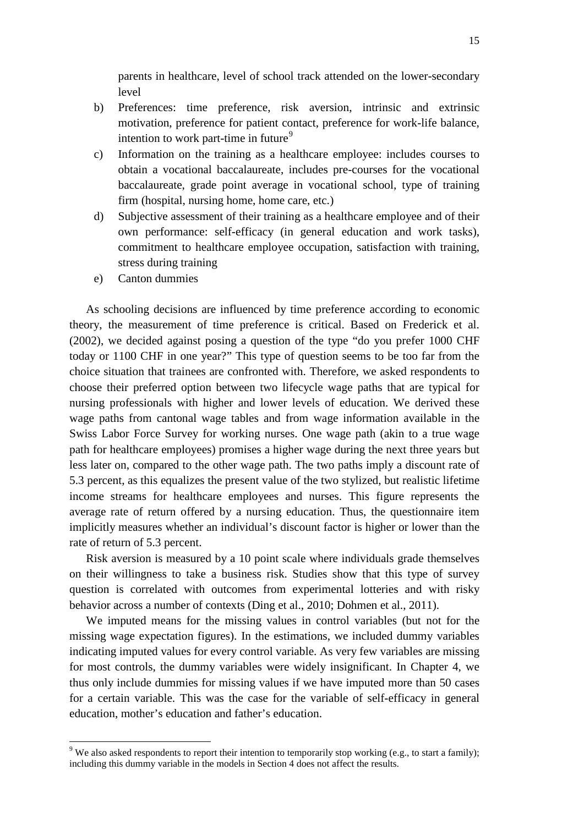parents in healthcare, level of school track attended on the lower-secondary level

- b) Preferences: time preference, risk aversion, intrinsic and extrinsic motivation, preference for patient contact, preference for work-life balance, intention to work part-time in future<sup>[9](#page-10-0)</sup>
- c) Information on the training as a healthcare employee: includes courses to obtain a vocational baccalaureate, includes pre-courses for the vocational baccalaureate, grade point average in vocational school, type of training firm (hospital, nursing home, home care, etc.)
- d) Subjective assessment of their training as a healthcare employee and of their own performance: self-efficacy (in general education and work tasks), commitment to healthcare employee occupation, satisfaction with training, stress during training
- e) Canton dummies

As schooling decisions are influenced by time preference according to economic theory, the measurement of time preference is critical. Based on Frederick et al. (2002), we decided against posing a question of the type "do you prefer 1000 CHF today or 1100 CHF in one year?" This type of question seems to be too far from the choice situation that trainees are confronted with. Therefore, we asked respondents to choose their preferred option between two lifecycle wage paths that are typical for nursing professionals with higher and lower levels of education. We derived these wage paths from cantonal wage tables and from wage information available in the Swiss Labor Force Survey for working nurses. One wage path (akin to a true wage path for healthcare employees) promises a higher wage during the next three years but less later on, compared to the other wage path. The two paths imply a discount rate of 5.3 percent, as this equalizes the present value of the two stylized, but realistic lifetime income streams for healthcare employees and nurses. This figure represents the average rate of return offered by a nursing education. Thus, the questionnaire item implicitly measures whether an individual's discount factor is higher or lower than the rate of return of 5.3 percent.

Risk aversion is measured by a 10 point scale where individuals grade themselves on their willingness to take a business risk. Studies show that this type of survey question is correlated with outcomes from experimental lotteries and with risky behavior across a number of contexts (Ding et al., 2010; Dohmen et al., 2011).

We imputed means for the missing values in control variables (but not for the missing wage expectation figures). In the estimations, we included dummy variables indicating imputed values for every control variable. As very few variables are missing for most controls, the dummy variables were widely insignificant. In Chapter 4, we thus only include dummies for missing values if we have imputed more than 50 cases for a certain variable. This was the case for the variable of self-efficacy in general education, mother's education and father's education.

<span id="page-15-0"></span><sup>&</sup>lt;sup>9</sup> We also asked respondents to report their intention to temporarily stop working (e.g., to start a family); including this dummy variable in the models in Section 4 does not affect the results.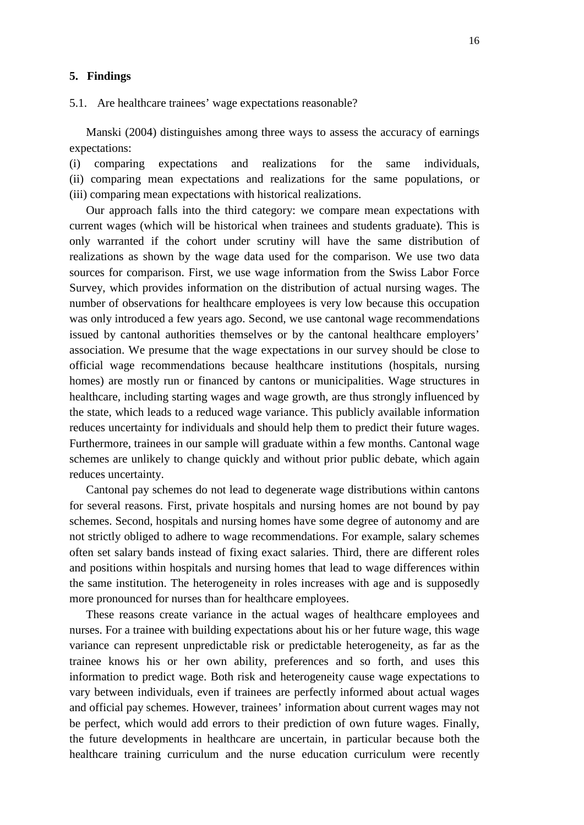#### **5. Findings**

5.1. Are healthcare trainees' wage expectations reasonable?

Manski (2004) distinguishes among three ways to assess the accuracy of earnings expectations:

(i) comparing expectations and realizations for the same individuals, (ii) comparing mean expectations and realizations for the same populations, or (iii) comparing mean expectations with historical realizations.

Our approach falls into the third category: we compare mean expectations with current wages (which will be historical when trainees and students graduate). This is only warranted if the cohort under scrutiny will have the same distribution of realizations as shown by the wage data used for the comparison. We use two data sources for comparison. First, we use wage information from the Swiss Labor Force Survey, which provides information on the distribution of actual nursing wages. The number of observations for healthcare employees is very low because this occupation was only introduced a few years ago. Second, we use cantonal wage recommendations issued by cantonal authorities themselves or by the cantonal healthcare employers' association. We presume that the wage expectations in our survey should be close to official wage recommendations because healthcare institutions (hospitals, nursing homes) are mostly run or financed by cantons or municipalities. Wage structures in healthcare, including starting wages and wage growth, are thus strongly influenced by the state, which leads to a reduced wage variance. This publicly available information reduces uncertainty for individuals and should help them to predict their future wages. Furthermore, trainees in our sample will graduate within a few months. Cantonal wage schemes are unlikely to change quickly and without prior public debate, which again reduces uncertainty.

Cantonal pay schemes do not lead to degenerate wage distributions within cantons for several reasons. First, private hospitals and nursing homes are not bound by pay schemes. Second, hospitals and nursing homes have some degree of autonomy and are not strictly obliged to adhere to wage recommendations. For example, salary schemes often set salary bands instead of fixing exact salaries. Third, there are different roles and positions within hospitals and nursing homes that lead to wage differences within the same institution. The heterogeneity in roles increases with age and is supposedly more pronounced for nurses than for healthcare employees.

These reasons create variance in the actual wages of healthcare employees and nurses. For a trainee with building expectations about his or her future wage, this wage variance can represent unpredictable risk or predictable heterogeneity, as far as the trainee knows his or her own ability, preferences and so forth, and uses this information to predict wage. Both risk and heterogeneity cause wage expectations to vary between individuals, even if trainees are perfectly informed about actual wages and official pay schemes. However, trainees' information about current wages may not be perfect, which would add errors to their prediction of own future wages. Finally, the future developments in healthcare are uncertain, in particular because both the healthcare training curriculum and the nurse education curriculum were recently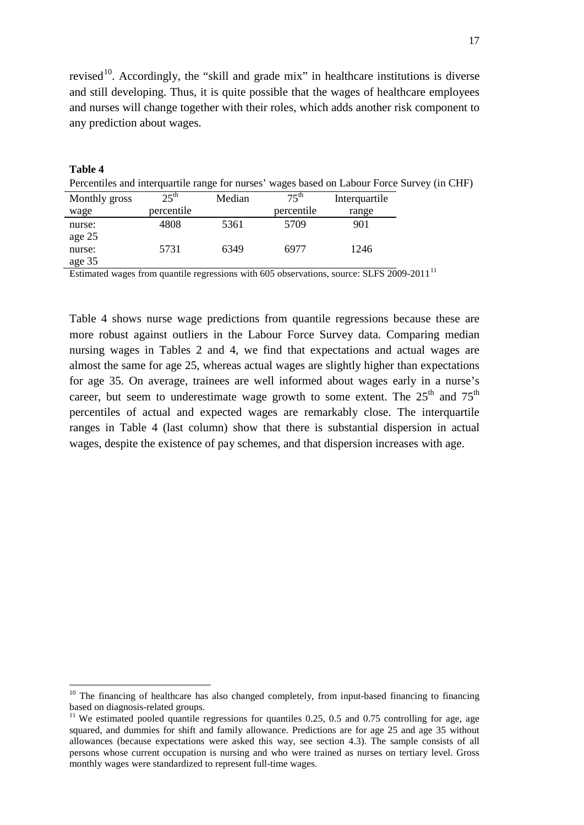revised<sup>[10](#page-15-0)</sup>. Accordingly, the "skill and grade mix" in healthcare institutions is diverse and still developing. Thus, it is quite possible that the wages of healthcare employees and nurses will change together with their roles, which adds another risk component to any prediction about wages.

| Table 4       |                  |        |                  |               |                                                                                             |
|---------------|------------------|--------|------------------|---------------|---------------------------------------------------------------------------------------------|
|               |                  |        |                  |               | Percentiles and interquartile range for nurses' wages based on Labour Force Survey (in CHF) |
| Monthly gross | $25^{\text{th}}$ | Median | $75^{\text{th}}$ | Interquartile |                                                                                             |
| wage          | percentile       |        | percentile       | range         |                                                                                             |
| nurse:        | 4808             | 5361   | 5709             | 901           |                                                                                             |
| age 25        |                  |        |                  |               |                                                                                             |
| nurse:        | 5731             | 6349   | 6977             | 1246          |                                                                                             |
| age 35        |                  |        |                  |               |                                                                                             |

Estimated wages from quantile regressions with 605 observations, source: SLFS 2009-20[11](#page-17-0)<sup>11</sup>

Table 4 shows nurse wage predictions from quantile regressions because these are more robust against outliers in the Labour Force Survey data. Comparing median nursing wages in Tables 2 and 4, we find that expectations and actual wages are almost the same for age 25, whereas actual wages are slightly higher than expectations for age 35. On average, trainees are well informed about wages early in a nurse's career, but seem to underestimate wage growth to some extent. The  $25<sup>th</sup>$  and  $75<sup>th</sup>$ percentiles of actual and expected wages are remarkably close. The interquartile ranges in Table 4 (last column) show that there is substantial dispersion in actual wages, despite the existence of pay schemes, and that dispersion increases with age.

 $10$  The financing of healthcare has also changed completely, from input-based financing to financing based on diagnosis-related groups.

<span id="page-17-1"></span><span id="page-17-0"></span> $11$  We estimated pooled quantile regressions for quantiles 0.25, 0.5 and 0.75 controlling for age, age squared, and dummies for shift and family allowance. Predictions are for age 25 and age 35 without allowances (because expectations were asked this way, see section 4.3). The sample consists of all persons whose current occupation is nursing and who were trained as nurses on tertiary level. Gross monthly wages were standardized to represent full-time wages.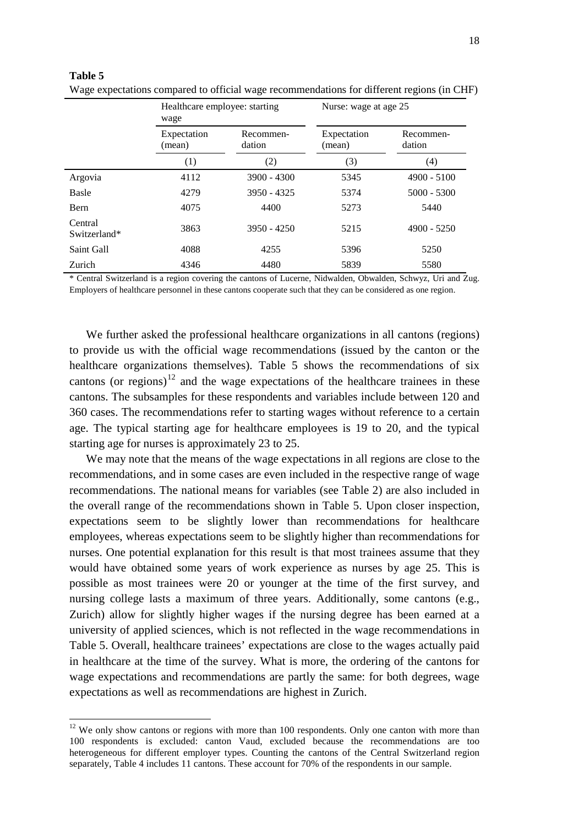|                         | wage                  | Healthcare employee: starting |                       | Nurse: wage at age 25 |
|-------------------------|-----------------------|-------------------------------|-----------------------|-----------------------|
|                         | Expectation<br>(mean) | Recommen-<br>dation           | Expectation<br>(mean) | Recommen-<br>dation   |
|                         | (1)                   | (2)                           | (3)                   | (4)                   |
| Argovia                 | 4112                  | $3900 - 4300$                 | 5345                  | $4900 - 5100$         |
| Basle                   | 4279                  | $3950 - 4325$                 | 5374                  | $5000 - 5300$         |
| <b>B</b> ern            | 4075                  | 4400                          | 5273                  | 5440                  |
| Central<br>Switzerland* | 3863                  | $3950 - 4250$                 | 5215                  | $4900 - 5250$         |
| Saint Gall              | 4088                  | 4255                          | 5396                  | 5250                  |
| Zurich                  | 4346                  | 4480                          | 5839                  | 5580                  |

**Table 5** Wage expectations compared to official wage recommendations for different regions (in CHF)

\* Central Switzerland is a region covering the cantons of Lucerne, Nidwalden, Obwalden, Schwyz, Uri and Zug. Employers of healthcare personnel in these cantons cooperate such that they can be considered as one region.

We further asked the professional healthcare organizations in all cantons (regions) to provide us with the official wage recommendations (issued by the canton or the healthcare organizations themselves). Table 5 shows the recommendations of six cantons (or regions)<sup>[12](#page-17-1)</sup> and the wage expectations of the healthcare trainees in these cantons. The subsamples for these respondents and variables include between 120 and 360 cases. The recommendations refer to starting wages without reference to a certain age. The typical starting age for healthcare employees is 19 to 20, and the typical starting age for nurses is approximately 23 to 25.

We may note that the means of the wage expectations in all regions are close to the recommendations, and in some cases are even included in the respective range of wage recommendations. The national means for variables (see Table 2) are also included in the overall range of the recommendations shown in Table 5. Upon closer inspection, expectations seem to be slightly lower than recommendations for healthcare employees, whereas expectations seem to be slightly higher than recommendations for nurses. One potential explanation for this result is that most trainees assume that they would have obtained some years of work experience as nurses by age 25. This is possible as most trainees were 20 or younger at the time of the first survey, and nursing college lasts a maximum of three years. Additionally, some cantons (e.g., Zurich) allow for slightly higher wages if the nursing degree has been earned at a university of applied sciences, which is not reflected in the wage recommendations in Table 5. Overall, healthcare trainees' expectations are close to the wages actually paid in healthcare at the time of the survey. What is more, the ordering of the cantons for wage expectations and recommendations are partly the same: for both degrees, wage expectations as well as recommendations are highest in Zurich.

<span id="page-18-0"></span><sup>&</sup>lt;sup>12</sup> We only show cantons or regions with more than 100 respondents. Only one canton with more than 100 respondents is excluded: canton Vaud, excluded because the recommendations are too heterogeneous for different employer types. Counting the cantons of the Central Switzerland region separately, Table 4 includes 11 cantons. These account for 70% of the respondents in our sample.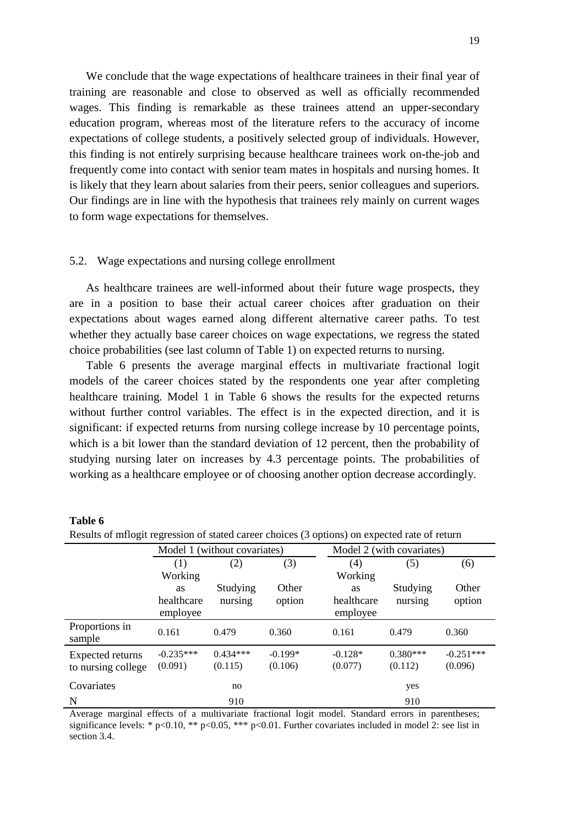We conclude that the wage expectations of healthcare trainees in their final year of training are reasonable and close to observed as well as officially recommended wages. This finding is remarkable as these trainees attend an upper-secondary education program, whereas most of the literature refers to the accuracy of income expectations of college students, a positively selected group of individuals. However, this finding is not entirely surprising because healthcare trainees work on-the-job and frequently come into contact with senior team mates in hospitals and nursing homes. It is likely that they learn about salaries from their peers, senior colleagues and superiors. Our findings are in line with the hypothesis that trainees rely mainly on current wages to form wage expectations for themselves.

#### 5.2. Wage expectations and nursing college enrollment

As healthcare trainees are well-informed about their future wage prospects, they are in a position to base their actual career choices after graduation on their expectations about wages earned along different alternative career paths. To test whether they actually base career choices on wage expectations, we regress the stated choice probabilities (see last column of Table 1) on expected returns to nursing.

Table 6 presents the average marginal effects in multivariate fractional logit models of the career choices stated by the respondents one year after completing healthcare training. Model 1 in Table 6 shows the results for the expected returns without further control variables. The effect is in the expected direction, and it is significant: if expected returns from nursing college increase by 10 percentage points, which is a bit lower than the standard deviation of 12 percent, then the probability of studying nursing later on increases by 4.3 percentage points. The probabilities of working as a healthcare employee or of choosing another option decrease accordingly.

| Results of mflogit regression of stated career choices (3 options) on expected rate of return |                              |            |           |                           |            |             |
|-----------------------------------------------------------------------------------------------|------------------------------|------------|-----------|---------------------------|------------|-------------|
|                                                                                               | Model 1 (without covariates) |            |           | Model 2 (with covariates) |            |             |
|                                                                                               | (1)                          | (2)        | (3)       | (4)                       | (5)        | (6)         |
|                                                                                               | Working                      |            |           | Working                   |            |             |
|                                                                                               | <b>as</b>                    | Studying   | Other     | <b>as</b>                 | Studying   | Other       |
|                                                                                               | healthcare                   | nursing    | option    | healthcare                | nursing    | option      |
|                                                                                               | employee                     |            |           | employee                  |            |             |
| Proportions in<br>sample                                                                      | 0.161                        | 0.479      | 0.360     | 0.161                     | 0.479      | 0.360       |
| Expected returns                                                                              | $-0.235***$                  | $0.434***$ | $-0.199*$ | $-0.128*$                 | $0.380***$ | $-0.251***$ |
| to nursing college                                                                            | (0.091)                      | (0.115)    | (0.106)   | (0.077)                   | (0.112)    | (0.096)     |
| Covariates                                                                                    |                              | no         |           |                           | yes        |             |
| N                                                                                             |                              | 910        |           |                           | 910        |             |

| Table 6 |  |
|---------|--|
|---------|--|

Average marginal effects of a multivariate fractional logit model. Standard errors in parentheses; significance levels: \* p<0.10, \*\* p<0.05, \*\*\* p<0.01. Further covariates included in model 2: see list in section 3.4.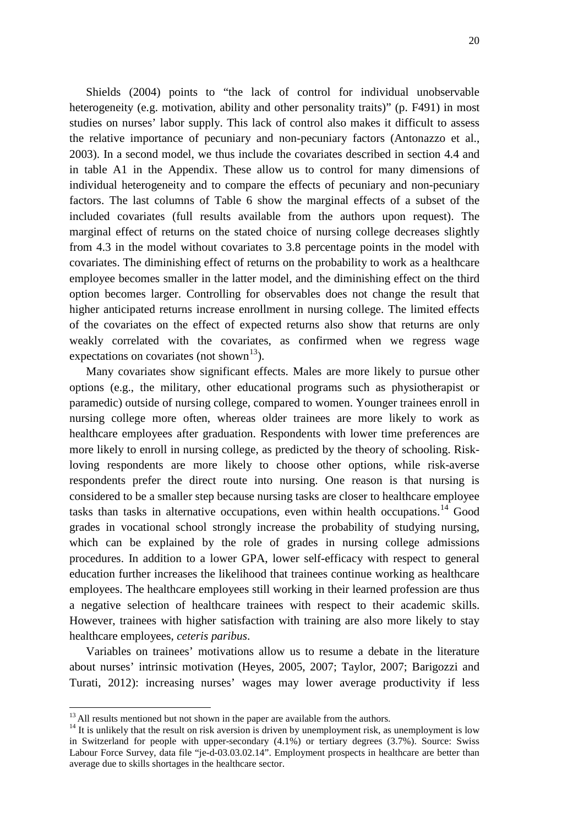Shields (2004) points to "the lack of control for individual unobservable heterogeneity (e.g. motivation, ability and other personality traits)" (p. F491) in most studies on nurses' labor supply. This lack of control also makes it difficult to assess the relative importance of pecuniary and non-pecuniary factors (Antonazzo et al., 2003). In a second model, we thus include the covariates described in section 4.4 and in table A1 in the Appendix. These allow us to control for many dimensions of individual heterogeneity and to compare the effects of pecuniary and non-pecuniary factors. The last columns of Table 6 show the marginal effects of a subset of the included covariates (full results available from the authors upon request). The marginal effect of returns on the stated choice of nursing college decreases slightly from 4.3 in the model without covariates to 3.8 percentage points in the model with covariates. The diminishing effect of returns on the probability to work as a healthcare employee becomes smaller in the latter model, and the diminishing effect on the third option becomes larger. Controlling for observables does not change the result that higher anticipated returns increase enrollment in nursing college. The limited effects of the covariates on the effect of expected returns also show that returns are only weakly correlated with the covariates, as confirmed when we regress wage expectations on covariates (not shown<sup>13</sup>).

Many covariates show significant effects. Males are more likely to pursue other options (e.g., the military, other educational programs such as physiotherapist or paramedic) outside of nursing college, compared to women. Younger trainees enroll in nursing college more often, whereas older trainees are more likely to work as healthcare employees after graduation. Respondents with lower time preferences are more likely to enroll in nursing college, as predicted by the theory of schooling. Riskloving respondents are more likely to choose other options, while risk-averse respondents prefer the direct route into nursing. One reason is that nursing is considered to be a smaller step because nursing tasks are closer to healthcare employee tasks than tasks in alternative occupations, even within health occupations.<sup>[14](#page-20-0)</sup> Good grades in vocational school strongly increase the probability of studying nursing, which can be explained by the role of grades in nursing college admissions procedures. In addition to a lower GPA, lower self-efficacy with respect to general education further increases the likelihood that trainees continue working as healthcare employees. The healthcare employees still working in their learned profession are thus a negative selection of healthcare trainees with respect to their academic skills. However, trainees with higher satisfaction with training are also more likely to stay healthcare employees, *ceteris paribus*.

Variables on trainees' motivations allow us to resume a debate in the literature about nurses' intrinsic motivation (Heyes, 2005, 2007; Taylor, 2007; Barigozzi and Turati, 2012): increasing nurses' wages may lower average productivity if less

<span id="page-20-1"></span><span id="page-20-0"></span>

<sup>&</sup>lt;sup>13</sup> All results mentioned but not shown in the paper are available from the authors.<br><sup>14</sup> It is unlikely that the result on risk aversion is driven by unemployment risk, as unemployment is low in Switzerland for people with upper-secondary (4.1%) or tertiary degrees (3.7%). Source: Swiss Labour Force Survey, data file "je-d-03.03.02.14". Employment prospects in healthcare are better than average due to skills shortages in the healthcare sector.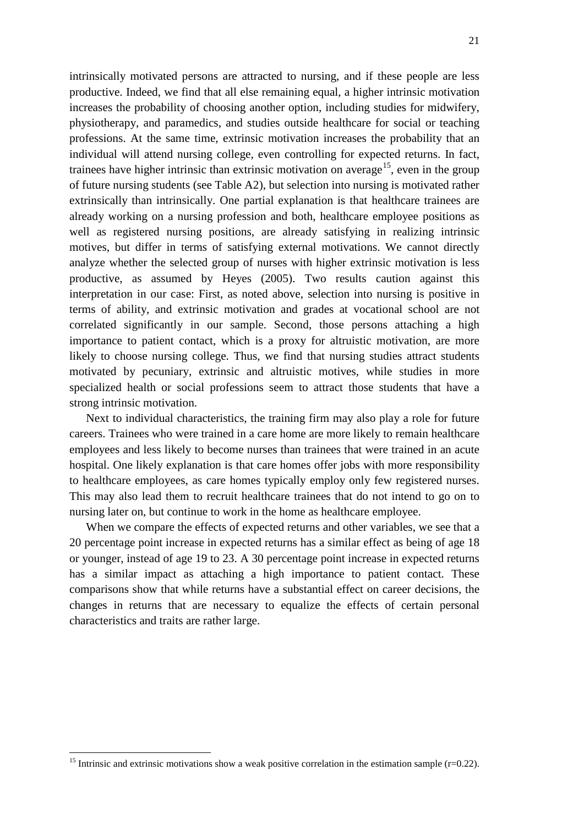intrinsically motivated persons are attracted to nursing, and if these people are less productive. Indeed, we find that all else remaining equal, a higher intrinsic motivation increases the probability of choosing another option, including studies for midwifery, physiotherapy, and paramedics, and studies outside healthcare for social or teaching professions. At the same time, extrinsic motivation increases the probability that an individual will attend nursing college, even controlling for expected returns. In fact, trainees have higher intrinsic than extrinsic motivation on average<sup>15</sup>, even in the group of future nursing students (see Table A2), but selection into nursing is motivated rather extrinsically than intrinsically. One partial explanation is that healthcare trainees are already working on a nursing profession and both, healthcare employee positions as well as registered nursing positions, are already satisfying in realizing intrinsic motives, but differ in terms of satisfying external motivations. We cannot directly analyze whether the selected group of nurses with higher extrinsic motivation is less productive, as assumed by Heyes (2005). Two results caution against this interpretation in our case: First, as noted above, selection into nursing is positive in terms of ability, and extrinsic motivation and grades at vocational school are not correlated significantly in our sample. Second, those persons attaching a high importance to patient contact, which is a proxy for altruistic motivation, are more likely to choose nursing college. Thus, we find that nursing studies attract students motivated by pecuniary, extrinsic and altruistic motives, while studies in more specialized health or social professions seem to attract those students that have a strong intrinsic motivation.

Next to individual characteristics, the training firm may also play a role for future careers. Trainees who were trained in a care home are more likely to remain healthcare employees and less likely to become nurses than trainees that were trained in an acute hospital. One likely explanation is that care homes offer jobs with more responsibility to healthcare employees, as care homes typically employ only few registered nurses. This may also lead them to recruit healthcare trainees that do not intend to go on to nursing later on, but continue to work in the home as healthcare employee.

When we compare the effects of expected returns and other variables, we see that a 20 percentage point increase in expected returns has a similar effect as being of age 18 or younger, instead of age 19 to 23. A 30 percentage point increase in expected returns has a similar impact as attaching a high importance to patient contact. These comparisons show that while returns have a substantial effect on career decisions, the changes in returns that are necessary to equalize the effects of certain personal characteristics and traits are rather large.

<span id="page-21-0"></span><sup>&</sup>lt;sup>15</sup> Intrinsic and extrinsic motivations show a weak positive correlation in the estimation sample (r=0.22).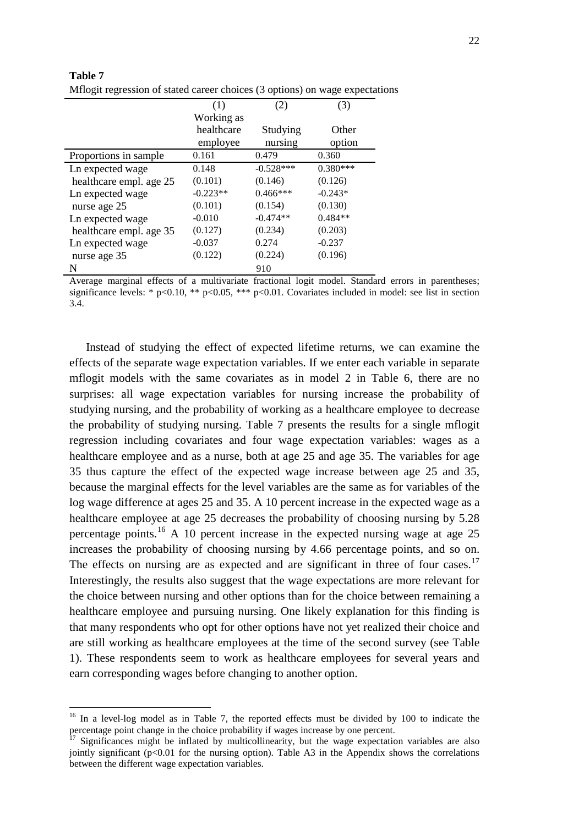| <b>THIORIC DELOCIÓN OF SURGE CHECK CHOICES</b> (S' OPHONS) ON WERE CHPCCUS |            |             |            |
|----------------------------------------------------------------------------|------------|-------------|------------|
|                                                                            | (1)        | (2)         | (3)        |
|                                                                            | Working as |             |            |
|                                                                            | healthcare | Studying    | Other      |
|                                                                            | employee   | nursing     | option     |
| Proportions in sample.                                                     | 0.161      | 0.479       | 0.360      |
| Ln expected wage                                                           | 0.148      | $-0.528***$ | $0.380***$ |
| healthcare empl. age 25                                                    | (0.101)    | (0.146)     | (0.126)    |
| Ln expected wage                                                           | $-0.223**$ | $0.466***$  | $-0.243*$  |
| nurse age 25                                                               | (0.101)    | (0.154)     | (0.130)    |
| Ln expected wage                                                           | $-0.010$   | $-0.474**$  | $0.484**$  |
| healthcare empl. age 35                                                    | (0.127)    | (0.234)     | (0.203)    |
| Ln expected wage                                                           | $-0.037$   | 0.274       | $-0.237$   |
| nurse age 35                                                               | (0.122)    | (0.224)     | (0.196)    |
| N                                                                          |            | 910         |            |

| Table 7                                                                      |
|------------------------------------------------------------------------------|
| Mflogit regression of stated career choices (3 options) on wage expectations |

Average marginal effects of a multivariate fractional logit model. Standard errors in parentheses; significance levels: \*  $p<0.10$ , \*\*  $p<0.05$ , \*\*\*  $p<0.01$ . Covariates included in model: see list in section 3.4.

Instead of studying the effect of expected lifetime returns, we can examine the effects of the separate wage expectation variables. If we enter each variable in separate mflogit models with the same covariates as in model 2 in Table 6, there are no surprises: all wage expectation variables for nursing increase the probability of studying nursing, and the probability of working as a healthcare employee to decrease the probability of studying nursing. Table 7 presents the results for a single mflogit regression including covariates and four wage expectation variables: wages as a healthcare employee and as a nurse, both at age 25 and age 35. The variables for age 35 thus capture the effect of the expected wage increase between age 25 and 35, because the marginal effects for the level variables are the same as for variables of the log wage difference at ages 25 and 35. A 10 percent increase in the expected wage as a healthcare employee at age 25 decreases the probability of choosing nursing by 5.28 percentage points.<sup>[16](#page-21-0)</sup> A 10 percent increase in the expected nursing wage at age 25 increases the probability of choosing nursing by 4.66 percentage points, and so on. The effects on nursing are as expected and are significant in three of four cases.<sup>[17](#page-22-0)</sup> Interestingly, the results also suggest that the wage expectations are more relevant for the choice between nursing and other options than for the choice between remaining a healthcare employee and pursuing nursing. One likely explanation for this finding is that many respondents who opt for other options have not yet realized their choice and are still working as healthcare employees at the time of the second survey (see Table 1). These respondents seem to work as healthcare employees for several years and earn corresponding wages before changing to another option.

<sup>&</sup>lt;sup>16</sup> In a level-log model as in Table 7, the reported effects must be divided by 100 to indicate the percentage point change in the choice probability if wages increase by one percent.<br><sup>17</sup> Significances might be inflated by multicollinearity, but the wage expectation variables are also

<span id="page-22-1"></span><span id="page-22-0"></span>jointly significant (p<0.01 for the nursing option). Table A3 in the Appendix shows the correlations between the different wage expectation variables.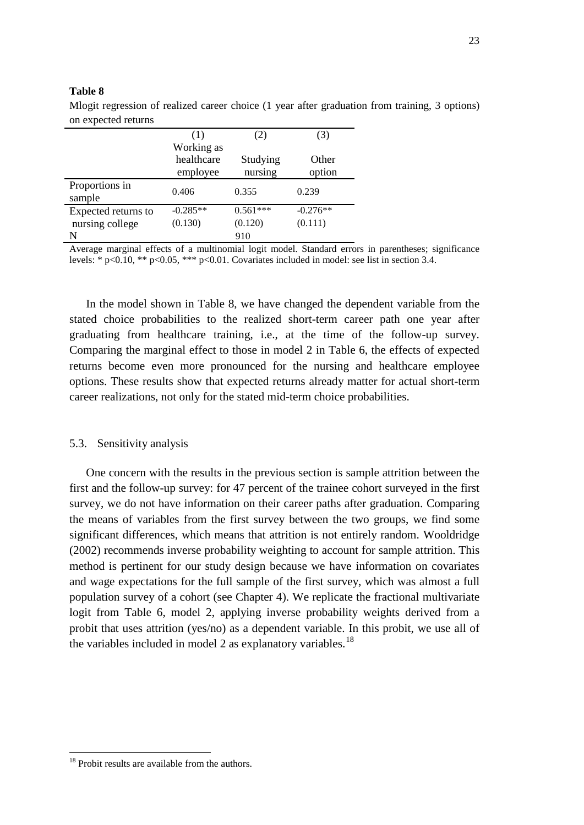|                          | (1)                      | (2)        | (3)        |
|--------------------------|--------------------------|------------|------------|
|                          | Working as<br>healthcare | Studying   | Other      |
|                          | employee                 | nursing    | option     |
| Proportions in<br>sample | 0.406                    | 0.355      | 0.239      |
| Expected returns to      | $-0.285**$               | $0.561***$ | $-0.276**$ |
| nursing college          | (0.130)                  | (0.120)    | (0.111)    |
| N                        |                          | 910        |            |

#### **Table 8**

Mlogit regression of realized career choice (1 year after graduation from training, 3 options) on expected returns

Average marginal effects of a multinomial logit model. Standard errors in parentheses; significance levels: \* p<0.10, \*\* p<0.05, \*\*\* p<0.01. Covariates included in model: see list in section 3.4.

In the model shown in Table 8, we have changed the dependent variable from the stated choice probabilities to the realized short-term career path one year after graduating from healthcare training, i.e., at the time of the follow-up survey. Comparing the marginal effect to those in model 2 in Table 6, the effects of expected returns become even more pronounced for the nursing and healthcare employee options. These results show that expected returns already matter for actual short-term career realizations, not only for the stated mid-term choice probabilities.

#### 5.3. Sensitivity analysis

One concern with the results in the previous section is sample attrition between the first and the follow-up survey: for 47 percent of the trainee cohort surveyed in the first survey, we do not have information on their career paths after graduation. Comparing the means of variables from the first survey between the two groups, we find some significant differences, which means that attrition is not entirely random. Wooldridge (2002) recommends inverse probability weighting to account for sample attrition. This method is pertinent for our study design because we have information on covariates and wage expectations for the full sample of the first survey, which was almost a full population survey of a cohort (see Chapter 4). We replicate the fractional multivariate logit from Table 6, model 2, applying inverse probability weights derived from a probit that uses attrition (yes/no) as a dependent variable. In this probit, we use all of the variables included in model 2 as explanatory variables.<sup>[18](#page-22-1)</sup>

<sup>&</sup>lt;sup>18</sup> Probit results are available from the authors.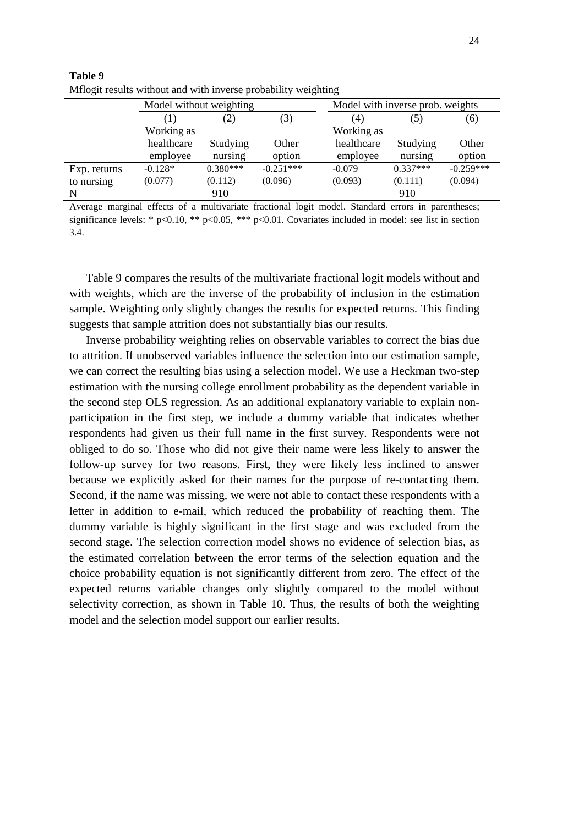|     | v |
|-----|---|
| e v |   |

| <u><b>HILOGH TOBARD WRITOUR AND WRIT HIVOLDO PLODAOTHLY WOLGHRITG</b></u> |                         |            |             |                                  |            |             |  |
|---------------------------------------------------------------------------|-------------------------|------------|-------------|----------------------------------|------------|-------------|--|
|                                                                           | Model without weighting |            |             | Model with inverse prob. weights |            |             |  |
|                                                                           | (3)<br>(2)<br>$\Box$    |            |             | (4)                              | (5)        | (6)         |  |
|                                                                           | Working as              |            |             | Working as                       |            |             |  |
|                                                                           | healthcare              | Studying   | Other       | healthcare                       | Studying   | Other       |  |
|                                                                           | employee                | nursing    | option      | employee                         | nursing    | option      |  |
| Exp. returns                                                              | $-0.128*$               | $0.380***$ | $-0.251***$ | $-0.079$                         | $0.337***$ | $-0.259***$ |  |
| to nursing                                                                | (0.077)                 | (0.112)    | (0.096)     | (0.093)                          | (0.111)    | (0.094)     |  |
| N                                                                         |                         | 910        |             |                                  | 910        |             |  |

| Table 9                                                         |  |
|-----------------------------------------------------------------|--|
| Millogit results without and with inverse probability weighting |  |

Average marginal effects of a multivariate fractional logit model. Standard errors in parentheses; significance levels: \* p<0.10, \*\* p<0.05, \*\*\* p<0.01. Covariates included in model: see list in section 3.4.

Table 9 compares the results of the multivariate fractional logit models without and with weights, which are the inverse of the probability of inclusion in the estimation sample. Weighting only slightly changes the results for expected returns. This finding suggests that sample attrition does not substantially bias our results.

Inverse probability weighting relies on observable variables to correct the bias due to attrition. If unobserved variables influence the selection into our estimation sample, we can correct the resulting bias using a selection model. We use a Heckman two-step estimation with the nursing college enrollment probability as the dependent variable in the second step OLS regression. As an additional explanatory variable to explain nonparticipation in the first step, we include a dummy variable that indicates whether respondents had given us their full name in the first survey. Respondents were not obliged to do so. Those who did not give their name were less likely to answer the follow-up survey for two reasons. First, they were likely less inclined to answer because we explicitly asked for their names for the purpose of re-contacting them. Second, if the name was missing, we were not able to contact these respondents with a letter in addition to e-mail, which reduced the probability of reaching them. The dummy variable is highly significant in the first stage and was excluded from the second stage. The selection correction model shows no evidence of selection bias, as the estimated correlation between the error terms of the selection equation and the choice probability equation is not significantly different from zero. The effect of the expected returns variable changes only slightly compared to the model without selectivity correction, as shown in Table 10. Thus, the results of both the weighting model and the selection model support our earlier results.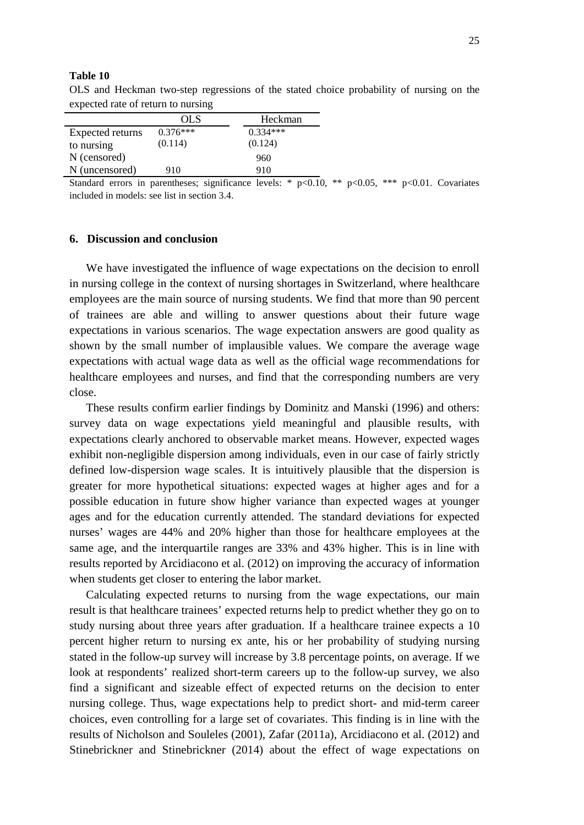#### **Table 10**

OLS and Heckman two-step regressions of the stated choice probability of nursing on the expected rate of return to nursing

|                  | OLS        | Heckman    |
|------------------|------------|------------|
| Expected returns | $0.376***$ | $0.334***$ |
| to nursing       | (0.114)    | (0.124)    |
| N (censored)     |            | 960        |
| N (uncensored)   | 910        | 910        |

Standard errors in parentheses; significance levels: \*  $p<0.10$ , \*\*  $p<0.05$ , \*\*\*  $p<0.01$ . Covariates included in models: see list in section 3.4.

#### **6. Discussion and conclusion**

We have investigated the influence of wage expectations on the decision to enroll in nursing college in the context of nursing shortages in Switzerland, where healthcare employees are the main source of nursing students. We find that more than 90 percent of trainees are able and willing to answer questions about their future wage expectations in various scenarios. The wage expectation answers are good quality as shown by the small number of implausible values. We compare the average wage expectations with actual wage data as well as the official wage recommendations for healthcare employees and nurses, and find that the corresponding numbers are very close.

These results confirm earlier findings by Dominitz and Manski (1996) and others: survey data on wage expectations yield meaningful and plausible results, with expectations clearly anchored to observable market means. However, expected wages exhibit non-negligible dispersion among individuals, even in our case of fairly strictly defined low-dispersion wage scales. It is intuitively plausible that the dispersion is greater for more hypothetical situations: expected wages at higher ages and for a possible education in future show higher variance than expected wages at younger ages and for the education currently attended. The standard deviations for expected nurses' wages are 44% and 20% higher than those for healthcare employees at the same age, and the interquartile ranges are 33% and 43% higher. This is in line with results reported by Arcidiacono et al. (2012) on improving the accuracy of information when students get closer to entering the labor market.

Calculating expected returns to nursing from the wage expectations, our main result is that healthcare trainees' expected returns help to predict whether they go on to study nursing about three years after graduation. If a healthcare trainee expects a 10 percent higher return to nursing ex ante, his or her probability of studying nursing stated in the follow-up survey will increase by 3.8 percentage points, on average. If we look at respondents' realized short-term careers up to the follow-up survey, we also find a significant and sizeable effect of expected returns on the decision to enter nursing college. Thus, wage expectations help to predict short- and mid-term career choices, even controlling for a large set of covariates. This finding is in line with the results of Nicholson and Souleles (2001), Zafar (2011a), Arcidiacono et al. (2012) and Stinebrickner and Stinebrickner (2014) about the effect of wage expectations on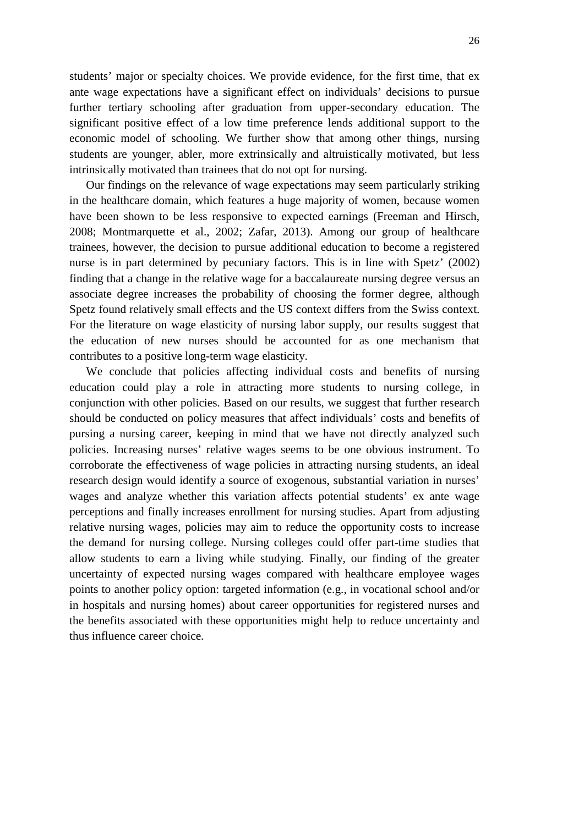students' major or specialty choices. We provide evidence, for the first time, that ex ante wage expectations have a significant effect on individuals' decisions to pursue further tertiary schooling after graduation from upper-secondary education. The significant positive effect of a low time preference lends additional support to the economic model of schooling. We further show that among other things, nursing students are younger, abler, more extrinsically and altruistically motivated, but less intrinsically motivated than trainees that do not opt for nursing.

Our findings on the relevance of wage expectations may seem particularly striking in the healthcare domain, which features a huge majority of women, because women have been shown to be less responsive to expected earnings (Freeman and Hirsch, 2008; Montmarquette et al., 2002; Zafar, 2013). Among our group of healthcare trainees, however, the decision to pursue additional education to become a registered nurse is in part determined by pecuniary factors. This is in line with Spetz' (2002) finding that a change in the relative wage for a baccalaureate nursing degree versus an associate degree increases the probability of choosing the former degree, although Spetz found relatively small effects and the US context differs from the Swiss context. For the literature on wage elasticity of nursing labor supply, our results suggest that the education of new nurses should be accounted for as one mechanism that contributes to a positive long-term wage elasticity.

We conclude that policies affecting individual costs and benefits of nursing education could play a role in attracting more students to nursing college, in conjunction with other policies. Based on our results, we suggest that further research should be conducted on policy measures that affect individuals' costs and benefits of pursing a nursing career, keeping in mind that we have not directly analyzed such policies. Increasing nurses' relative wages seems to be one obvious instrument. To corroborate the effectiveness of wage policies in attracting nursing students, an ideal research design would identify a source of exogenous, substantial variation in nurses' wages and analyze whether this variation affects potential students' ex ante wage perceptions and finally increases enrollment for nursing studies. Apart from adjusting relative nursing wages, policies may aim to reduce the opportunity costs to increase the demand for nursing college. Nursing colleges could offer part-time studies that allow students to earn a living while studying. Finally, our finding of the greater uncertainty of expected nursing wages compared with healthcare employee wages points to another policy option: targeted information (e.g., in vocational school and/or in hospitals and nursing homes) about career opportunities for registered nurses and the benefits associated with these opportunities might help to reduce uncertainty and thus influence career choice.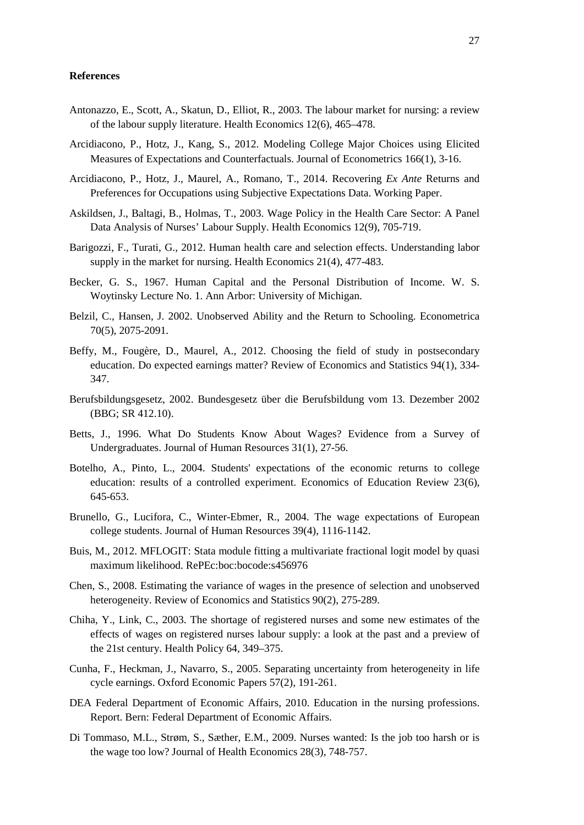#### **References**

- Antonazzo, E., Scott, A., Skatun, D., Elliot, R., 2003. The labour market for nursing: a review of the labour supply literature. Health Economics 12(6), 465–478.
- Arcidiacono, P., Hotz, J., Kang, S., 2012. Modeling College Major Choices using Elicited Measures of Expectations and Counterfactuals. Journal of Econometrics 166(1), 3-16.
- Arcidiacono, P., Hotz, J., Maurel, A., Romano, T., 2014. Recovering *Ex Ante* Returns and Preferences for Occupations using Subjective Expectations Data. Working Paper.
- Askildsen, J., Baltagi, B., Holmas, T., 2003. Wage Policy in the Health Care Sector: A Panel Data Analysis of Nurses' Labour Supply. Health Economics 12(9), 705-719.
- Barigozzi, F., Turati, G., 2012. Human health care and selection effects. Understanding labor supply in the market for nursing. Health Economics 21(4), 477-483.
- Becker, G. S., 1967. Human Capital and the Personal Distribution of Income. W. S. Woytinsky Lecture No. 1. Ann Arbor: University of Michigan.
- Belzil, C., Hansen, J. 2002. Unobserved Ability and the Return to Schooling. Econometrica 70(5), 2075-2091.
- Beffy, M., Fougère, D., Maurel, A., 2012. Choosing the field of study in postsecondary education. Do expected earnings matter? Review of Economics and Statistics 94(1), 334- 347.
- Berufsbildungsgesetz, 2002. Bundesgesetz über die Berufsbildung vom 13. Dezember 2002 (BBG; SR 412.10).
- Betts, J., 1996. What Do Students Know About Wages? Evidence from a Survey of Undergraduates. Journal of Human Resources 31(1), 27-56.
- Botelho, A., Pinto, L., 2004. Students' expectations of the economic returns to college education: results of a controlled experiment. Economics of Education Review 23(6), 645-653.
- Brunello, G., Lucifora, C., Winter-Ebmer, R., 2004. The wage expectations of European college students. Journal of Human Resources 39(4), 1116-1142.
- Buis, M., 2012. MFLOGIT: Stata module fitting a multivariate fractional logit model by quasi maximum likelihood. RePEc:boc:bocode:s456976
- Chen, S., 2008. Estimating the variance of wages in the presence of selection and unobserved heterogeneity. Review of Economics and Statistics 90(2), 275-289.
- Chiha, Y., Link, C., 2003. The shortage of registered nurses and some new estimates of the effects of wages on registered nurses labour supply: a look at the past and a preview of the 21st century. Health Policy 64, 349–375.
- Cunha, F., Heckman, J., Navarro, S., 2005. Separating uncertainty from heterogeneity in life cycle earnings. Oxford Economic Papers 57(2), 191-261.
- DEA Federal Department of Economic Affairs, 2010. Education in the nursing professions. Report. Bern: Federal Department of Economic Affairs.
- Di Tommaso, M.L., Strøm, S., Sæther, E.M., 2009. Nurses wanted: Is the job too harsh or is the wage too low? Journal of Health Economics 28(3), 748-757.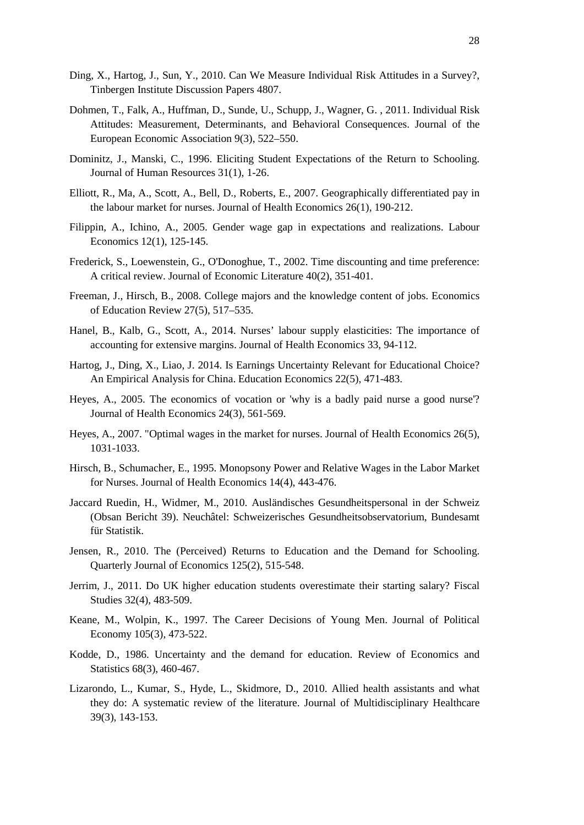- Ding, X., Hartog, J., Sun, Y., 2010. [Can We Measure Individual Risk Attitudes in a Survey?,](http://www.iza.org/en/webcontent/publications/papers/viewAbstract?dp_id=4807) Tinbergen Institute Discussion Papers 4807.
- Dohmen, T., Falk, A., Huffman, D., Sunde, U., Schupp, J., Wagner, G. , 2011. Individual Risk Attitudes: Measurement, Determinants, and Behavioral Consequences. Journal of the European Economic Association 9(3), 522–550.
- Dominitz, J., Manski, C., 1996. Eliciting Student Expectations of the Return to Schooling. Journal of Human Resources 31(1), 1-26.
- Elliott, R., Ma, A., Scott, A., Bell, D., Roberts, E., 2007. Geographically differentiated pay in the labour market for nurses. Journal of Health Economics 26(1), 190-212.
- Filippin, A., Ichino, A., 2005. Gender wage gap in expectations and realizations. Labour Economics 12(1), 125-145.
- Frederick, S., Loewenstein, G., O'Donoghue, T., 2002. Time discounting and time preference: A critical review. Journal of Economic Literature 40(2), 351-401.
- Freeman, J., Hirsch, B., 2008. College majors and the knowledge content of jobs. Economics of Education Review 27(5), 517–535.
- Hanel, B., Kalb, G., Scott, A., 2014. Nurses' labour supply elasticities: The importance of accounting for extensive margins. Journal of Health Economics 33, 94-112.
- Hartog, J., Ding, X., Liao, J. 2014. Is Earnings Uncertainty Relevant for Educational Choice? An Empirical Analysis for China. Education Economics 22(5), 471-483.
- Heyes, A., 2005. The economics of vocation or 'why is a badly paid nurse a good nurse'? Journal of Health Economics 24(3), 561-569.
- Heyes, A., 2007. "Optimal wages in the market for nurses. Journal of Health Economics 26(5), 1031-1033.
- Hirsch, B., Schumacher, E., 1995. Monopsony Power and Relative Wages in the Labor Market for Nurses. Journal of Health Economics 14(4), 443-476.
- Jaccard Ruedin, H., Widmer, M., 2010. Ausländisches Gesundheitspersonal in der Schweiz (Obsan Bericht 39). Neuchâtel: Schweizerisches Gesundheitsobservatorium, Bundesamt für Statistik.
- Jensen, R., 2010. The (Perceived) Returns to Education and the Demand for Schooling. Quarterly Journal of Economics 125(2), 515-548.
- Jerrim, J., 2011. Do UK higher education students overestimate their starting salary? Fiscal Studies 32(4), 483-509.
- Keane, M., Wolpin, K., 1997. The Career Decisions of Young Men. Journal of Political Economy 105(3), 473-522.
- Kodde, D., 1986. Uncertainty and the demand for education. Review of Economics and Statistics 68(3), 460-467.
- Lizarondo, L., Kumar, S., Hyde, L., Skidmore, D., 2010. Allied health assistants and what they do: A systematic review of the literature. Journal of Multidisciplinary Healthcare 39(3), 143-153.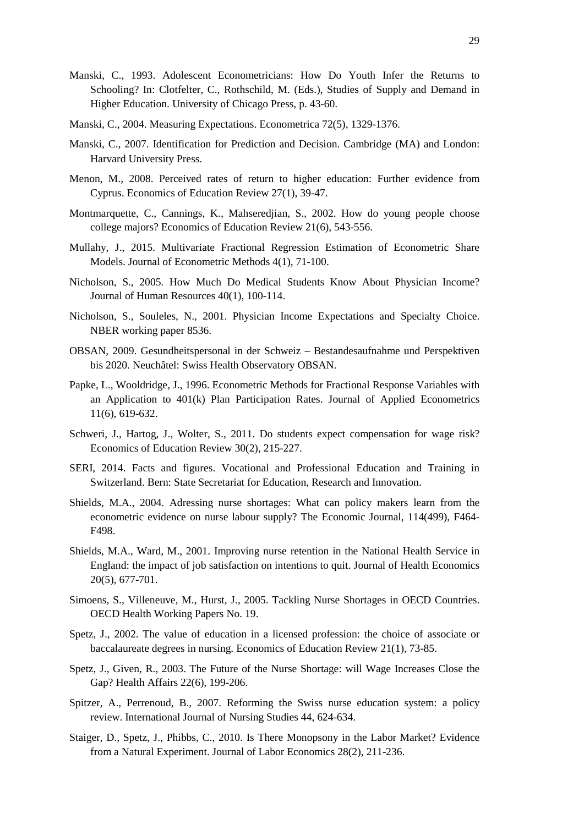- Manski, C., 1993. Adolescent Econometricians: How Do Youth Infer the Returns to Schooling? In: Clotfelter, C., Rothschild, M. (Eds.), Studies of Supply and Demand in Higher Education. University of Chicago Press, p. 43-60.
- Manski, C., 2004. Measuring Expectations. Econometrica 72(5), 1329-1376.
- Manski, C., 2007. Identification for Prediction and Decision. Cambridge (MA) and London: Harvard University Press.
- Menon, M., 2008. Perceived rates of return to higher education: Further evidence from Cyprus. Economics of Education Review 27(1), 39-47.
- Montmarquette, C., Cannings, K., Mahseredjian, S., 2002. How do young people choose college majors? Economics of Education Review 21(6), 543-556.
- Mullahy, J., 2015. Multivariate Fractional Regression Estimation of Econometric Share Models. Journal of Econometric Methods 4(1), 71-100.
- Nicholson, S., 2005. How Much Do Medical Students Know About Physician Income? Journal of Human Resources 40(1), 100-114.
- Nicholson, S., Souleles, N., 2001. Physician Income Expectations and Specialty Choice. NBER working paper 8536.
- OBSAN, 2009. Gesundheitspersonal in der Schweiz Bestandesaufnahme und Perspektiven bis 2020. Neuchâtel: Swiss Health Observatory OBSAN.
- Papke, L., Wooldridge, J., 1996. Econometric Methods for Fractional Response Variables with an Application to 401(k) Plan Participation Rates. Journal of Applied Econometrics 11(6), 619-632.
- Schweri, J., Hartog, J., Wolter, S., 2011. Do students expect compensation for wage risk? Economics of Education Review 30(2), 215-227.
- SERI, 2014. Facts and figures. Vocational and Professional Education and Training in Switzerland. Bern: State Secretariat for Education, Research and Innovation.
- Shields, M.A., 2004. Adressing nurse shortages: What can policy makers learn from the econometric evidence on nurse labour supply? The Economic Journal, 114(499), F464- F498.
- Shields, M.A., Ward, M., 2001. Improving nurse retention in the National Health Service in England: the impact of job satisfaction on intentions to quit. Journal of Health Economics 20(5), 677-701.
- Simoens, S., Villeneuve, M., Hurst, J., 2005. Tackling Nurse Shortages in OECD Countries. OECD Health Working Papers No. 19.
- Spetz, J., 2002. The value of education in a licensed profession: the choice of associate or baccalaureate degrees in nursing. Economics of Education Review 21(1), 73-85.
- Spetz, J., Given, R., 2003. The Future of the Nurse Shortage: will Wage Increases Close the Gap? Health Affairs 22(6), 199-206.
- Spitzer, A., Perrenoud, B., 2007. Reforming the Swiss nurse education system: a policy review. International Journal of Nursing Studies 44, 624-634.
- Staiger, D., Spetz, J., Phibbs, C., 2010. Is There Monopsony in the Labor Market? Evidence from a Natural Experiment. Journal of Labor Economics 28(2), 211-236.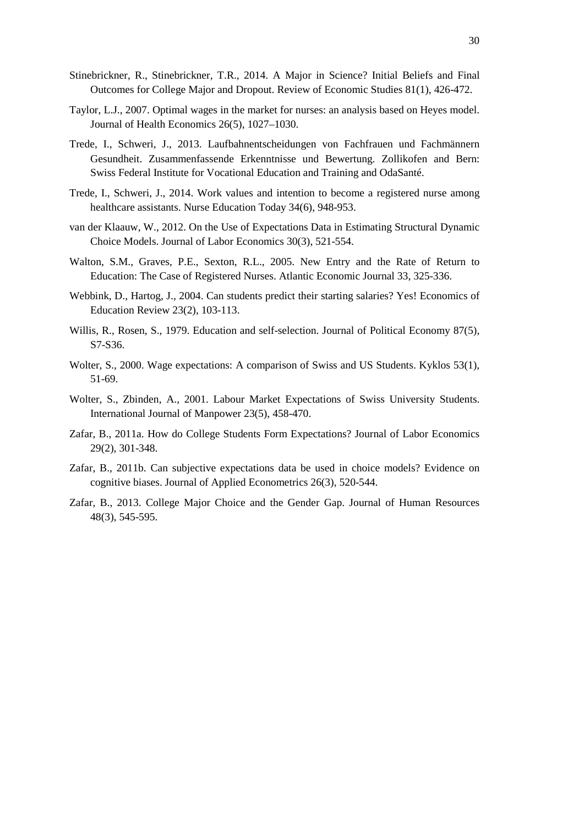- Stinebrickner, R., Stinebrickner, T.R., 2014. A Major in Science? Initial Beliefs and Final Outcomes for College Major and Dropout. Review of Economic Studies 81(1), 426-472.
- Taylor, L.J., 2007. Optimal wages in the market for nurses: an analysis based on Heyes model. Journal of Health Economics 26(5), 1027–1030.
- Trede, I., Schweri, J., 2013. Laufbahnentscheidungen von Fachfrauen und Fachmännern Gesundheit. Zusammenfassende Erkenntnisse und Bewertung. Zollikofen and Bern: Swiss Federal Institute for Vocational Education and Training and OdaSanté.
- Trede, I., Schweri, J., 2014. Work values and intention to become a registered nurse among healthcare assistants. Nurse Education Today 34(6), 948-953.
- van der Klaauw, W., 2012. On the Use of Expectations Data in Estimating Structural Dynamic Choice Models. Journal of Labor Economics 30(3), 521-554.
- Walton, S.M., Graves, P.E., Sexton, R.L., 2005. New Entry and the Rate of Return to Education: The Case of Registered Nurses. Atlantic Economic Journal 33, 325-336.
- Webbink, D., Hartog, J., 2004. Can students predict their starting salaries? Yes! Economics of Education Review 23(2), 103-113.
- Willis, R., Rosen, S., 1979. Education and self-selection. Journal of Political Economy 87(5), S7-S36.
- Wolter, S., 2000. Wage expectations: A comparison of Swiss and US Students. Kyklos 53(1), 51-69.
- Wolter, S., Zbinden, A., 2001. Labour Market Expectations of Swiss University Students. International Journal of Manpower 23(5), 458-470.
- Zafar, B., 2011a. How do College Students Form Expectations? Journal of Labor Economics 29(2), 301-348.
- Zafar, B., 2011b. Can subjective expectations data be used in choice models? Evidence on cognitive biases. Journal of Applied Econometrics 26(3), 520-544.
- Zafar, B., 2013. College Major Choice and the Gender Gap. Journal of Human Resources 48(3), 545-595.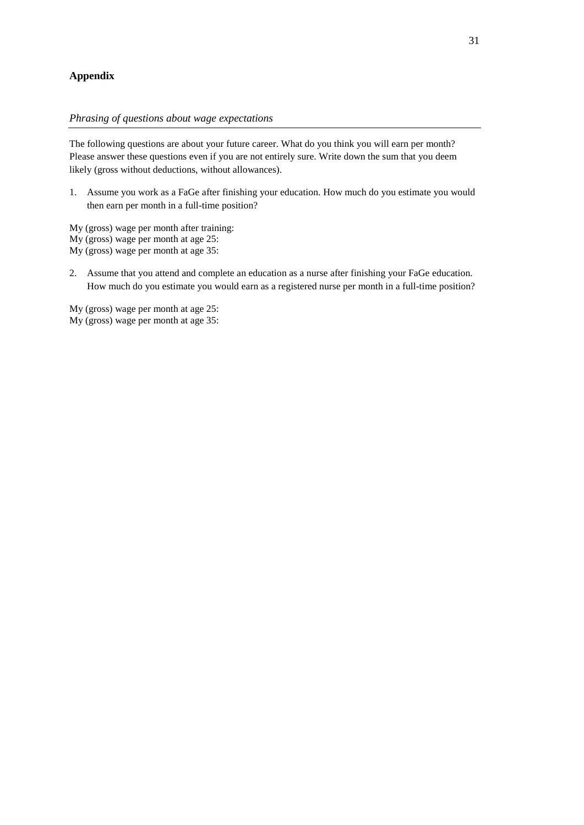#### **Appendix**

#### *Phrasing of questions about wage expectations*

The following questions are about your future career. What do you think you will earn per month? Please answer these questions even if you are not entirely sure. Write down the sum that you deem likely (gross without deductions, without allowances).

- 1. Assume you work as a FaGe after finishing your education. How much do you estimate you would then earn per month in a full-time position?
- My (gross) wage per month after training:
- My (gross) wage per month at age 25:
- My (gross) wage per month at age 35:
- 2. Assume that you attend and complete an education as a nurse after finishing your FaGe education. How much do you estimate you would earn as a registered nurse per month in a full-time position?

My (gross) wage per month at age 25: My (gross) wage per month at age 35: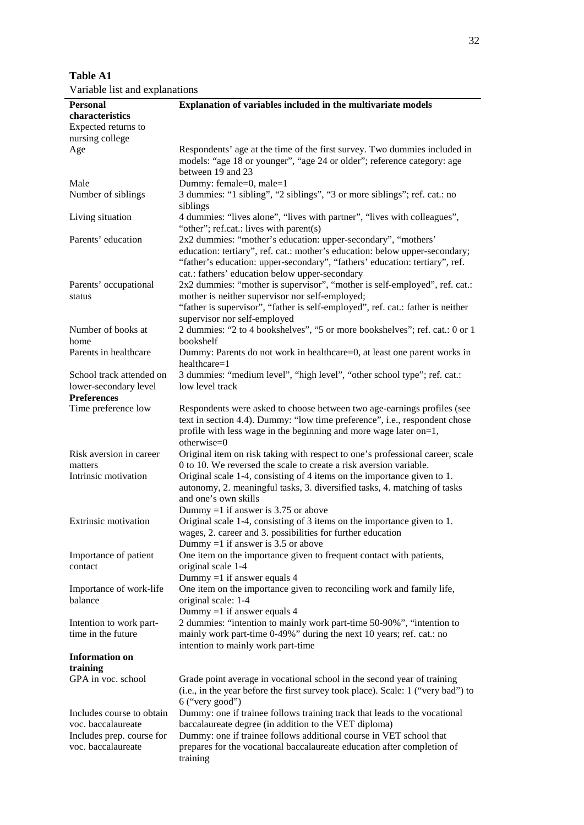| <b>Table A1</b>                |  |
|--------------------------------|--|
| Variable list and explanations |  |

| <b>Personal</b>             | Explanation of variables included in the multivariate models                     |
|-----------------------------|----------------------------------------------------------------------------------|
| characteristics             |                                                                                  |
| Expected returns to         |                                                                                  |
| nursing college             |                                                                                  |
| Age                         | Respondents' age at the time of the first survey. Two dummies included in        |
|                             | models: "age 18 or younger", "age 24 or older"; reference category: age          |
|                             | between 19 and 23                                                                |
| Male                        | Dummy: female=0, male=1                                                          |
| Number of siblings          | 3 dummies: "1 sibling", "2 siblings", "3 or more siblings"; ref. cat.: no        |
|                             | siblings                                                                         |
| Living situation            | 4 dummies: "lives alone", "lives with partner", "lives with colleagues",         |
|                             |                                                                                  |
|                             | "other"; ref.cat.: lives with parent(s)                                          |
| Parents' education          | 2x2 dummies: "mother's education: upper-secondary", "mothers'                    |
|                             | education: tertiary", ref. cat.: mother's education: below upper-secondary;      |
|                             | "father's education: upper-secondary", "fathers' education: tertiary", ref.      |
|                             | cat.: fathers' education below upper-secondary                                   |
| Parents' occupational       | 2x2 dummies: "mother is supervisor", "mother is self-employed", ref. cat.:       |
| status                      | mother is neither supervisor nor self-employed;                                  |
|                             | "father is supervisor", "father is self-employed", ref. cat.: father is neither  |
|                             | supervisor nor self-employed                                                     |
| Number of books at          | 2 dummies: "2 to 4 bookshelves", "5 or more bookshelves"; ref. cat.: 0 or 1      |
| home                        | bookshelf                                                                        |
| Parents in healthcare       | Dummy: Parents do not work in healthcare=0, at least one parent works in         |
|                             | healthcare=1                                                                     |
| School track attended on    | 3 dummies: "medium level", "high level", "other school type"; ref. cat.:         |
| lower-secondary level       | low level track                                                                  |
| <b>Preferences</b>          |                                                                                  |
| Time preference low         | Respondents were asked to choose between two age-earnings profiles (see          |
|                             | text in section 4.4). Dummy: "low time preference", i.e., respondent chose       |
|                             | profile with less wage in the beginning and more wage later on=1,                |
|                             | otherwise=0                                                                      |
| Risk aversion in career     | Original item on risk taking with respect to one's professional career, scale    |
| matters                     | 0 to 10. We reversed the scale to create a risk aversion variable.               |
| Intrinsic motivation        | Original scale 1-4, consisting of 4 items on the importance given to 1.          |
|                             | autonomy, 2. meaningful tasks, 3. diversified tasks, 4. matching of tasks        |
|                             | and one's own skills                                                             |
|                             | Dummy =1 if answer is 3.75 or above                                              |
| <b>Extrinsic motivation</b> | Original scale 1-4, consisting of 3 items on the importance given to 1.          |
|                             |                                                                                  |
|                             | wages, 2. career and 3. possibilities for further education                      |
|                             | Dummy =1 if answer is $3.5$ or above                                             |
| Importance of patient       | One item on the importance given to frequent contact with patients,              |
| contact                     | original scale 1-4                                                               |
|                             | Dummy = 1 if answer equals 4                                                     |
| Importance of work-life     | One item on the importance given to reconciling work and family life,            |
| balance                     | original scale: 1-4                                                              |
|                             | Dummy = 1 if answer equals 4                                                     |
| Intention to work part-     | 2 dummies: "intention to mainly work part-time 50-90%", "intention to            |
| time in the future          | mainly work part-time 0-49%" during the next 10 years; ref. cat.: no             |
|                             | intention to mainly work part-time                                               |
| <b>Information on</b>       |                                                                                  |
| training                    |                                                                                  |
| GPA in voc. school          | Grade point average in vocational school in the second year of training          |
|                             | (i.e., in the year before the first survey took place). Scale: 1 ("very bad") to |
|                             | $6$ ("very good")                                                                |
| Includes course to obtain   | Dummy: one if trainee follows training track that leads to the vocational        |
| voc. baccalaureate          | baccalaureate degree (in addition to the VET diploma)                            |
| Includes prep. course for   | Dummy: one if trainee follows additional course in VET school that               |
| voc. baccalaureate          | prepares for the vocational baccalaureate education after completion of          |
|                             | training                                                                         |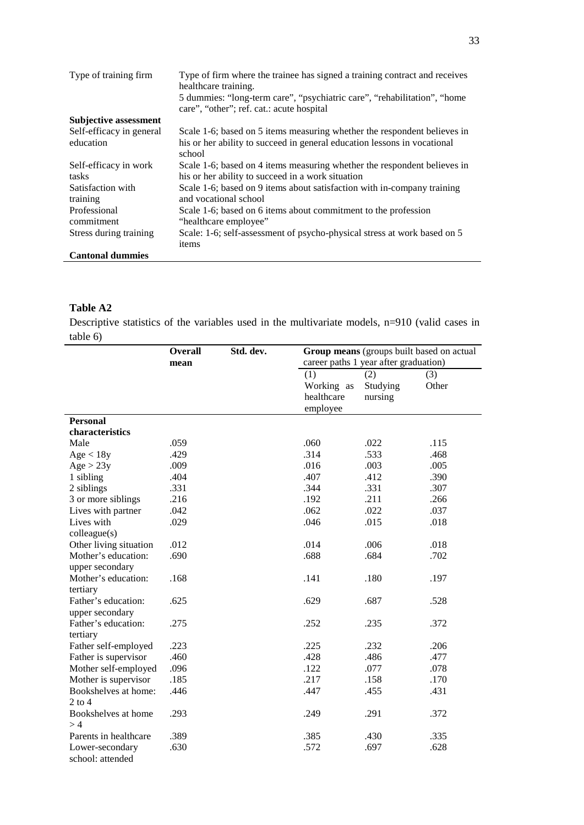| Type of training firm         | Type of firm where the trainee has signed a training contract and receives<br>healthcare training.<br>5 dummies: "long-term care", "psychiatric care", "rehabilitation", "home |
|-------------------------------|--------------------------------------------------------------------------------------------------------------------------------------------------------------------------------|
|                               | care", "other"; ref. cat.: acute hospital                                                                                                                                      |
| Subjective assessment         |                                                                                                                                                                                |
| Self-efficacy in general      | Scale 1-6; based on 5 items measuring whether the respondent believes in                                                                                                       |
| education                     | his or her ability to succeed in general education lessons in vocational<br>school                                                                                             |
| Self-efficacy in work         | Scale 1-6; based on 4 items measuring whether the respondent believes in                                                                                                       |
| tasks                         | his or her ability to succeed in a work situation                                                                                                                              |
| Satisfaction with<br>training | Scale 1-6; based on 9 items about satisfaction with in-company training<br>and vocational school                                                                               |
| Professional                  | Scale 1-6; based on 6 items about commitment to the profession                                                                                                                 |
| commitment                    | "healthcare employee"                                                                                                                                                          |
| Stress during training        | Scale: 1-6; self-assessment of psycho-physical stress at work based on 5                                                                                                       |
|                               | items                                                                                                                                                                          |
| <b>Cantonal dummies</b>       |                                                                                                                                                                                |

### **Table A2**

Descriptive statistics of the variables used in the multivariate models, n=910 (valid cases in  $table<sub>f</sub>$ <sup>-r</sup>

|                        | <b>Overall</b> | Std. dev. |            | Group means (groups built based on actual |       |
|------------------------|----------------|-----------|------------|-------------------------------------------|-------|
|                        | mean           |           |            | career paths 1 year after graduation)     |       |
|                        |                |           | (1)        | (2)                                       | (3)   |
|                        |                |           | Working as | Studying                                  | Other |
|                        |                |           | healthcare | nursing                                   |       |
|                        |                |           | employee   |                                           |       |
| <b>Personal</b>        |                |           |            |                                           |       |
| characteristics        |                |           |            |                                           |       |
| Male                   | .059           |           | .060       | .022                                      | .115  |
| Age < 18y              | .429           |           | .314       | .533                                      | .468  |
| Age > 23y              | .009           |           | .016       | .003                                      | .005  |
| 1 sibling              | .404           |           | .407       | .412                                      | .390  |
| 2 siblings             | .331           |           | .344       | .331                                      | .307  |
| 3 or more siblings     | .216           |           | .192       | .211                                      | .266  |
| Lives with partner     | .042           |           | .062       | .022                                      | .037  |
| Lives with             | .029           |           | .046       | .015                                      | .018  |
| colleague(s)           |                |           |            |                                           |       |
| Other living situation | .012           |           | .014       | .006                                      | .018  |
| Mother's education:    | .690           |           | .688       | .684                                      | .702  |
| upper secondary        |                |           |            |                                           |       |
| Mother's education:    | .168           |           | .141       | .180                                      | .197  |
| tertiary               |                |           |            |                                           |       |
| Father's education:    | .625           |           | .629       | .687                                      | .528  |
| upper secondary        |                |           |            |                                           |       |
| Father's education:    | .275           |           | .252       | .235                                      | .372  |
| tertiary               |                |           |            |                                           |       |
| Father self-employed   | .223           |           | .225       | .232                                      | .206  |
| Father is supervisor   | .460           |           | .428       | .486                                      | .477  |
| Mother self-employed   | .096           |           | .122       | .077                                      | .078  |
| Mother is supervisor   | .185           |           | .217       | .158                                      | .170  |
| Bookshelves at home:   | .446           |           | .447       | .455                                      | .431  |
| $2$ to 4               |                |           |            |                                           |       |
| Bookshelves at home    | .293           |           | .249       | .291                                      | .372  |
| >4                     |                |           |            |                                           |       |
| Parents in healthcare  | .389           |           | .385       | .430                                      | .335  |
| Lower-secondary        | .630           |           | .572       | .697                                      | .628  |
| school: attended       |                |           |            |                                           |       |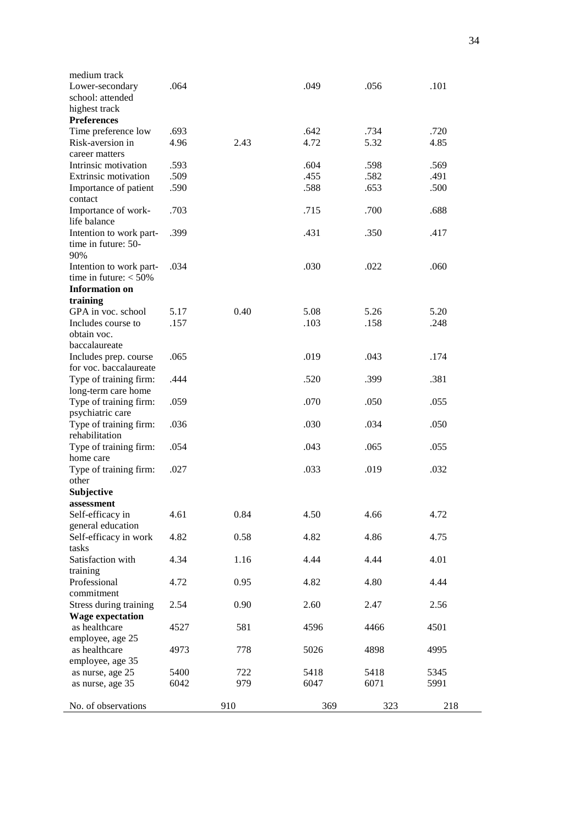| medium track                     |      |      |      |      |      |
|----------------------------------|------|------|------|------|------|
| Lower-secondary                  | .064 |      | .049 | .056 | .101 |
| school: attended                 |      |      |      |      |      |
| highest track                    |      |      |      |      |      |
| <b>Preferences</b>               |      |      |      |      |      |
| Time preference low              | .693 |      | .642 | .734 | .720 |
| Risk-aversion in                 | 4.96 | 2.43 | 4.72 | 5.32 | 4.85 |
| career matters                   |      |      |      |      |      |
| Intrinsic motivation             | .593 |      | .604 | .598 | .569 |
| <b>Extrinsic motivation</b>      | .509 |      | .455 | .582 | .491 |
|                                  | .590 |      | .588 |      |      |
| Importance of patient<br>contact |      |      |      | .653 | .500 |
|                                  | .703 |      |      |      | .688 |
| Importance of work-              |      |      | .715 | .700 |      |
| life balance                     |      |      |      |      |      |
| Intention to work part-          | .399 |      | .431 | .350 | .417 |
| time in future: 50-              |      |      |      |      |      |
| 90%                              |      |      |      |      |      |
| Intention to work part-          | .034 |      | .030 | .022 | .060 |
| time in future: $<$ 50%          |      |      |      |      |      |
| <b>Information</b> on            |      |      |      |      |      |
| training                         |      |      |      |      |      |
| GPA in voc. school               | 5.17 | 0.40 | 5.08 | 5.26 | 5.20 |
| Includes course to               | .157 |      | .103 | .158 | .248 |
| obtain voc.                      |      |      |      |      |      |
|                                  |      |      |      |      |      |
| baccalaureate                    |      |      |      |      |      |
| Includes prep. course            | .065 |      | .019 | .043 | .174 |
| for voc. baccalaureate           |      |      |      |      |      |
| Type of training firm:           | .444 |      | .520 | .399 | .381 |
| long-term care home              |      |      |      |      |      |
| Type of training firm:           | .059 |      | .070 | .050 | .055 |
| psychiatric care                 |      |      |      |      |      |
| Type of training firm:           | .036 |      | .030 | .034 | .050 |
| rehabilitation                   |      |      |      |      |      |
| Type of training firm:           | .054 |      | .043 | .065 | .055 |
| home care                        |      |      |      |      |      |
| Type of training firm:           | .027 |      | .033 | .019 | .032 |
| other                            |      |      |      |      |      |
|                                  |      |      |      |      |      |
| Subjective                       |      |      |      |      |      |
| assessment                       |      |      |      |      |      |
| Self-efficacy in                 | 4.61 | 0.84 | 4.50 | 4.66 | 4.72 |
| general education                |      |      |      |      |      |
| Self-efficacy in work            | 4.82 | 0.58 | 4.82 | 4.86 | 4.75 |
| tasks                            |      |      |      |      |      |
| Satisfaction with                | 4.34 | 1.16 | 4.44 | 4.44 | 4.01 |
| training                         |      |      |      |      |      |
| Professional                     | 4.72 | 0.95 | 4.82 | 4.80 | 4.44 |
| commitment                       |      |      |      |      |      |
| Stress during training           | 2.54 | 0.90 | 2.60 | 2.47 | 2.56 |
| <b>Wage expectation</b>          |      |      |      |      |      |
| as healthcare                    | 4527 | 581  | 4596 | 4466 | 4501 |
|                                  |      |      |      |      |      |
| employee, age 25                 |      |      |      |      |      |
| as healthcare                    | 4973 | 778  | 5026 | 4898 | 4995 |
| employee, age 35                 |      |      |      |      |      |
| as nurse, age 25                 | 5400 | 722  | 5418 | 5418 | 5345 |
| as nurse, age 35                 | 6042 | 979  | 6047 | 6071 | 5991 |
|                                  |      |      |      |      |      |
| No. of observations              |      | 910  | 369  | 323  | 218  |